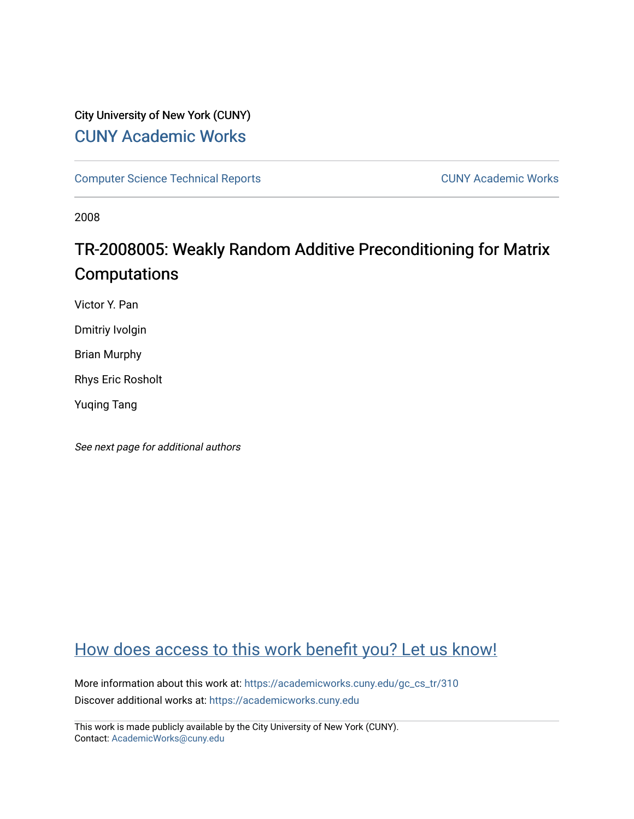## City University of New York (CUNY) [CUNY Academic Works](https://academicworks.cuny.edu/)

[Computer Science Technical Reports](https://academicworks.cuny.edu/gc_cs_tr) **CUNY Academic Works** CUNY Academic Works

2008

# TR-2008005: Weakly Random Additive Preconditioning for Matrix Computations

Victor Y. Pan

Dmitriy Ivolgin

Brian Murphy

Rhys Eric Rosholt

Yuqing Tang

See next page for additional authors

## [How does access to this work benefit you? Let us know!](http://ols.cuny.edu/academicworks/?ref=https://academicworks.cuny.edu/gc_cs_tr/310)

More information about this work at: [https://academicworks.cuny.edu/gc\\_cs\\_tr/310](https://academicworks.cuny.edu/gc_cs_tr/310)  Discover additional works at: [https://academicworks.cuny.edu](https://academicworks.cuny.edu/?)

This work is made publicly available by the City University of New York (CUNY). Contact: [AcademicWorks@cuny.edu](mailto:AcademicWorks@cuny.edu)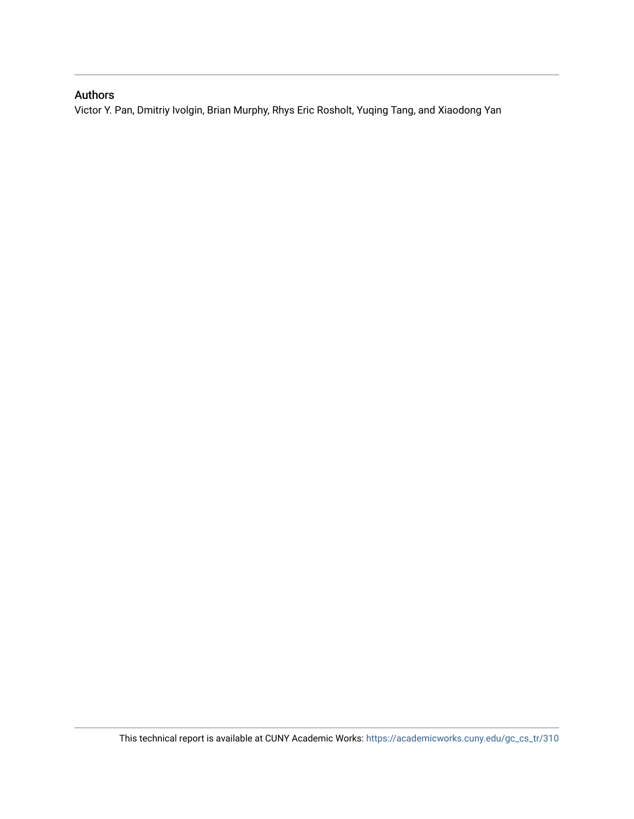## Authors

Victor Y. Pan, Dmitriy Ivolgin, Brian Murphy, Rhys Eric Rosholt, Yuqing Tang, and Xiaodong Yan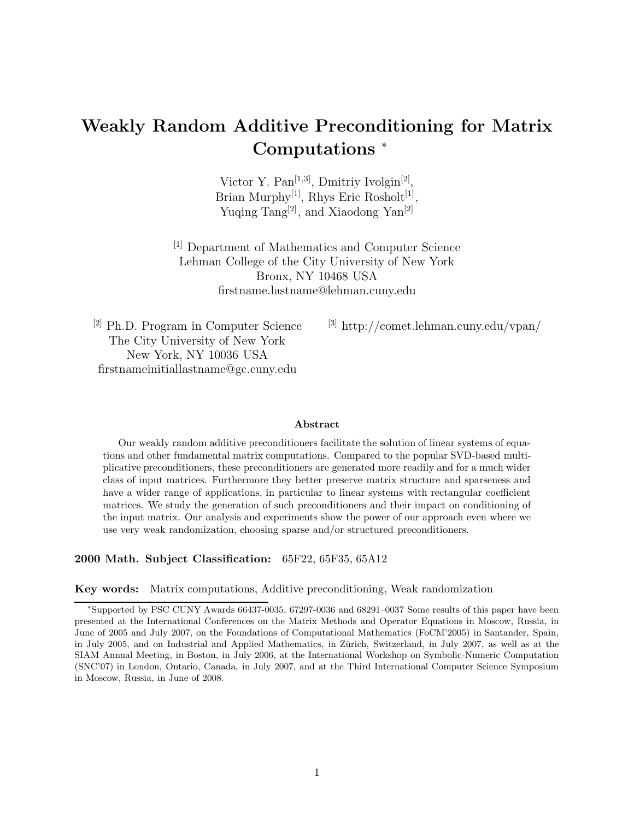## **Weakly Random Additive Preconditioning for Matrix Computations** <sup>∗</sup>

Victor Y. Pan<sup>[1,3]</sup>, Dmitriy Ivolgin<sup>[2]</sup>, Brian Murphy<sup>[1]</sup>, Rhys Eric Rosholt<sup>[1]</sup>, Yuqing Tang<sup>[2]</sup>, and Xiaodong Yan<sup>[2]</sup>

[1] Department of Mathematics and Computer Science Lehman College of the City University of New York Bronx, NY 10468 USA firstname.lastname@lehman.cuny.edu

[2] Ph.D. Program in Computer Science The City University of New York New York, NY 10036 USA firstnameinitiallastname@gc.cuny.edu

[3] http://comet.lehman.cuny.edu/vpan/

#### **Abstract**

Our weakly random additive preconditioners facilitate the solution of linear systems of equations and other fundamental matrix computations. Compared to the popular SVD-based multiplicative preconditioners, these preconditioners are generated more readily and for a much wider class of input matrices. Furthermore they better preserve matrix structure and sparseness and have a wider range of applications, in particular to linear systems with rectangular coefficient matrices. We study the generation of such preconditioners and their impact on conditioning of the input matrix. Our analysis and experiments show the power of our approach even where we use very weak randomization, choosing sparse and/or structured preconditioners.

**2000 Math. Subject Classification:** 65F22, 65F35, 65A12

#### **Key words:** Matrix computations, Additive preconditioning, Weak randomization

<sup>∗</sup>Supported by PSC CUNY Awards 66437-0035, 67297-0036 and 68291–0037 Some results of this paper have been presented at the International Conferences on the Matrix Methods and Operator Equations in Moscow, Russia, in June of 2005 and July 2007, on the Foundations of Computational Mathematics (FoCM'2005) in Santander, Spain, in July 2005, and on Industrial and Applied Mathematics, in Zürich, Switzerland, in July 2007, as well as at the SIAM Annual Meeting, in Boston, in July 2006, at the International Workshop on Symbolic-Numeric Computation (SNC'07) in London, Ontario, Canada, in July 2007, and at the Third International Computer Science Symposium in Moscow, Russia, in June of 2008.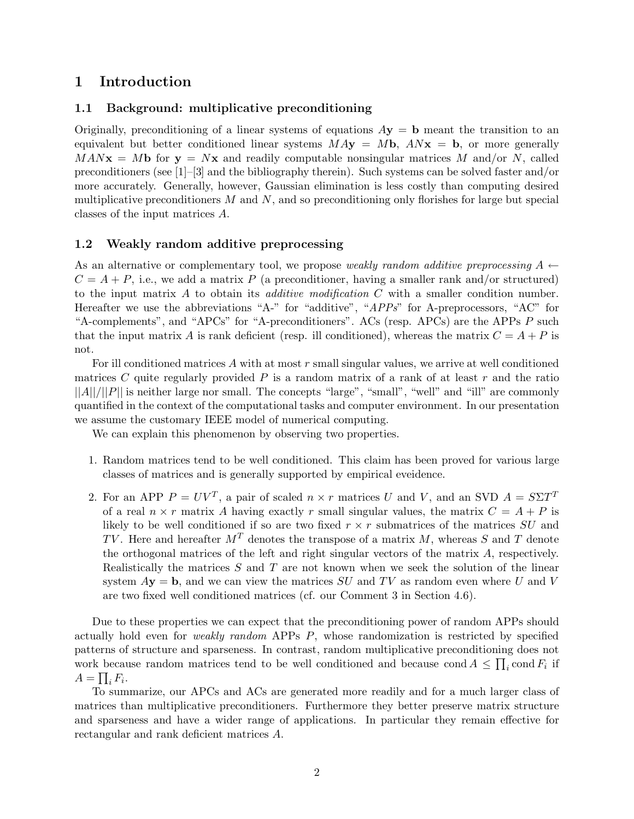## **1 Introduction**

#### **1.1 Background: multiplicative preconditioning**

Originally, preconditioning of a linear systems of equations  $A$ **y** = **b** meant the transition to an equivalent but better conditioned linear systems  $M A$ **y** =  $M$ **b**,  $A N$ **x** = **b**, or more generally  $MAN**x** = Mb$  for  **and readily computable nonsingular matrices M and/or N, called** preconditioners (see  $[1]-[3]$  and the bibliography therein). Such systems can be solved faster and/or more accurately. Generally, however, Gaussian elimination is less costly than computing desired multiplicative preconditioners  $M$  and  $N$ , and so preconditioning only florishes for large but special classes of the input matrices A.

#### **1.2 Weakly random additive preprocessing**

As an alternative or complementary tool, we propose *weakly random additive preprocessing*  $A \leftarrow$  $C = A + P$ , i.e., we add a matrix P (a preconditioner, having a smaller rank and/or structured) to the input matrix A to obtain its *additive modification* C with a smaller condition number. Hereafter we use the abbreviations "A-" for "additive", "*APPs*" for A-preprocessors, "AC" for "A-complements", and "APCs" for "A-preconditioners". ACs (resp. APCs) are the APPs P such that the input matrix A is rank deficient (resp. ill conditioned), whereas the matrix  $C = A + P$  is not.

For ill conditioned matrices  $A$  with at most  $r$  small singular values, we arrive at well conditioned matrices C quite regularly provided  $P$  is a random matrix of a rank of at least  $r$  and the ratio  $||A||/||P||$  is neither large nor small. The concepts "large", "small", "well" and "ill" are commonly quantified in the context of the computational tasks and computer environment. In our presentation we assume the customary IEEE model of numerical computing.

We can explain this phenomenon by observing two properties.

- 1. Random matrices tend to be well conditioned. This claim has been proved for various large classes of matrices and is generally supported by empirical eveidence.
- 2. For an APP  $P = UV^T$ , a pair of scaled  $n \times r$  matrices U and V, and an SVD  $A = S \Sigma T^T$ of a real  $n \times r$  matrix A having exactly r small singular values, the matrix  $C = A + P$  is likely to be well conditioned if so are two fixed  $r \times r$  submatrices of the matrices  $SU$  and TV. Here and hereafter  $M<sup>T</sup>$  denotes the transpose of a matrix M, whereas S and T denote the orthogonal matrices of the left and right singular vectors of the matrix A, respectively. Realistically the matrices  $S$  and  $T$  are not known when we seek the solution of the linear system  $Ay = b$ , and we can view the matrices  $SU$  and TV as random even where U and V are two fixed well conditioned matrices (cf. our Comment 3 in Section 4.6).

Due to these properties we can expect that the preconditioning power of random APPs should actually hold even for *weakly random* APPs P, whose randomization is restricted by specified patterns of structure and sparseness. In contrast, random multiplicative preconditioning does not work because random matrices tend to be well conditioned and because cond  $A \leq \prod_i \text{cond } F_i$  if  $A=\prod_i F_i.$ 

To summarize, our APCs and ACs are generated more readily and for a much larger class of matrices than multiplicative preconditioners. Furthermore they better preserve matrix structure and sparseness and have a wider range of applications. In particular they remain effective for rectangular and rank deficient matrices A.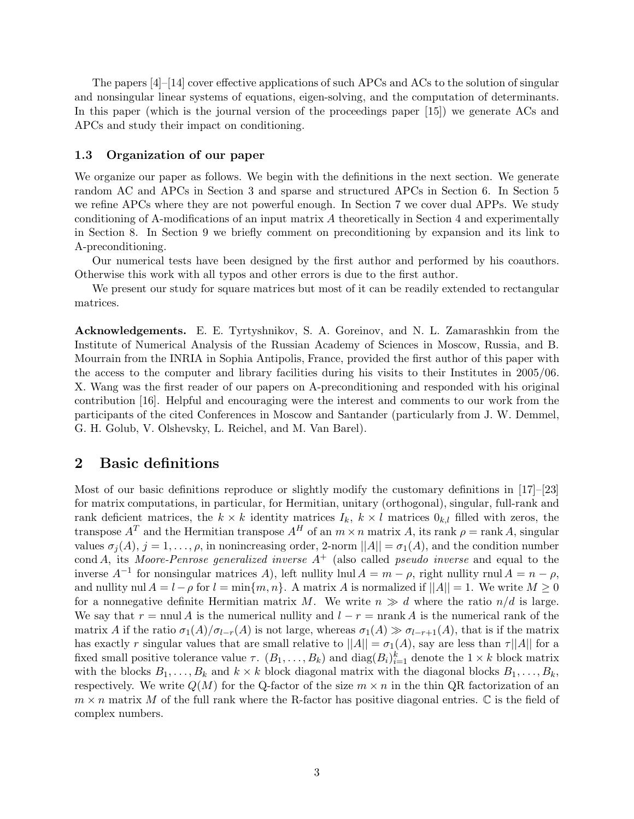The papers [4]–[14] cover effective applications of such APCs and ACs to the solution of singular and nonsingular linear systems of equations, eigen-solving, and the computation of determinants. In this paper (which is the journal version of the proceedings paper [15]) we generate ACs and APCs and study their impact on conditioning.

#### **1.3 Organization of our paper**

We organize our paper as follows. We begin with the definitions in the next section. We generate random AC and APCs in Section 3 and sparse and structured APCs in Section 6. In Section 5 we refine APCs where they are not powerful enough. In Section 7 we cover dual APPs. We study conditioning of A-modifications of an input matrix A theoretically in Section 4 and experimentally in Section 8. In Section 9 we briefly comment on preconditioning by expansion and its link to A-preconditioning.

Our numerical tests have been designed by the first author and performed by his coauthors. Otherwise this work with all typos and other errors is due to the first author.

We present our study for square matrices but most of it can be readily extended to rectangular matrices.

**Acknowledgements.** E. E. Tyrtyshnikov, S. A. Goreinov, and N. L. Zamarashkin from the Institute of Numerical Analysis of the Russian Academy of Sciences in Moscow, Russia, and B. Mourrain from the INRIA in Sophia Antipolis, France, provided the first author of this paper with the access to the computer and library facilities during his visits to their Institutes in 2005/06. X. Wang was the first reader of our papers on A-preconditioning and responded with his original contribution [16]. Helpful and encouraging were the interest and comments to our work from the participants of the cited Conferences in Moscow and Santander (particularly from J. W. Demmel, G. H. Golub, V. Olshevsky, L. Reichel, and M. Van Barel).

### **2 Basic definitions**

Most of our basic definitions reproduce or slightly modify the customary definitions in [17]–[23] for matrix computations, in particular, for Hermitian, unitary (orthogonal), singular, full-rank and rank deficient matrices, the  $k \times k$  identity matrices  $I_k$ ,  $k \times l$  matrices  $0_{k,l}$  filled with zeros, the transpose  $A^T$  and the Hermitian transpose  $A^H$  of an  $m \times n$  matrix A, its rank  $\rho = \text{rank } A$ , singular values  $\sigma_i(A)$ ,  $j = 1, \ldots, \rho$ , in nonincreasing order, 2-norm  $||A|| = \sigma_1(A)$ , and the condition number cond A, its *Moore-Penrose generalized inverse* A<sup>+</sup> (also called *pseudo inverse* and equal to the inverse  $A^{-1}$  for nonsingular matrices A), left nullity lnul  $A = m - \rho$ , right nullity rnul  $A = n - \rho$ , and nullity nul  $A = l - \rho$  for  $l = \min\{m, n\}$ . A matrix A is normalized if  $||A|| = 1$ . We write  $M \ge 0$ for a nonnegative definite Hermitian matrix M. We write  $n \gg d$  where the ratio  $n/d$  is large. We say that r = nnul A is the numerical nullity and  $l - r = \text{nrank } A$  is the numerical rank of the matrix A if the ratio  $\sigma_1(A)/\sigma_{l-r}(A)$  is not large, whereas  $\sigma_1(A) \gg \sigma_{l-r+1}(A)$ , that is if the matrix has exactly r singular values that are small relative to  $||A|| = \sigma_1(A)$ , say are less than  $\tau||A||$  for a fixed small positive tolerance value  $\tau$ .  $(B_1, \ldots, B_k)$  and  $\text{diag}(B_i)_{i=1}^k$  denote the  $1 \times k$  block matrix with the blocks  $B_1, \ldots, B_k$  and  $k \times k$  block diagonal matrix with the diagonal blocks  $B_1, \ldots, B_k$ , respectively. We write  $Q(M)$  for the Q-factor of the size  $m \times n$  in the thin QR factorization of an  $m \times n$  matrix M of the full rank where the R-factor has positive diagonal entries. C is the field of complex numbers.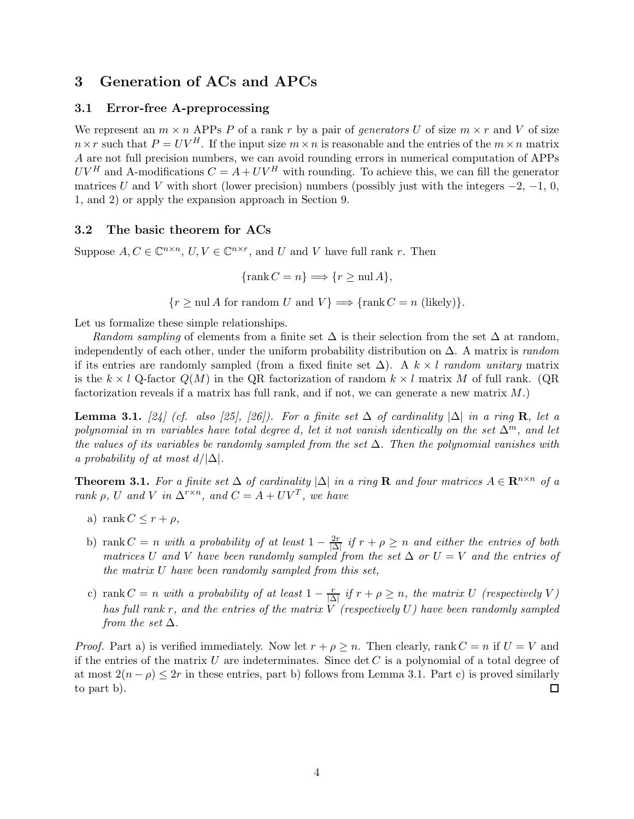## **3 Generation of ACs and APCs**

#### **3.1 Error-free A-preprocessing**

We represent an  $m \times n$  APPs P of a rank r by a pair of *generators* U of size  $m \times r$  and V of size  $n \times r$  such that  $P = UV^H$ . If the input size  $m \times n$  is reasonable and the entries of the  $m \times n$  matrix A are not full precision numbers, we can avoid rounding errors in numerical computation of APPs  $UV^H$  and A-modifications  $C = A + UV^H$  with rounding. To achieve this, we can fill the generator matrices U and V with short (lower precision) numbers (possibly just with the integers  $-2$ ,  $-1$ , 0, 1, and 2) or apply the expansion approach in Section 9.

#### **3.2 The basic theorem for ACs**

Suppose  $A, C \in \mathbb{C}^{n \times n}$ ,  $U, V \in \mathbb{C}^{n \times r}$ , and U and V have full rank r. Then

$$
\{\operatorname{rank} C = n\} \Longrightarrow \{r \ge \operatorname{null} A\},\
$$

 ${r \geq \text{null } A \text{ for random } U \text{ and } V} \Longrightarrow \{\text{rank } C = n \text{ (likely)}\}.$ 

Let us formalize these simple relationships.

*Random sampling* of elements from a finite set  $\Delta$  is their selection from the set  $\Delta$  at random, independently of each other, under the uniform probability distribution on ∆. A matrix is *random* if its entries are randomly sampled (from a fixed finite set ∆). A k × l *random unitary* matrix is the  $k \times l$  Q-factor  $Q(M)$  in the QR factorization of random  $k \times l$  matrix M of full rank. (QR factorization reveals if a matrix has full rank, and if not, we can generate a new matrix  $M$ .)

**Lemma 3.1.**  $[24]$  (cf. also [25], [26]). For a finite set  $\Delta$  of cardinality  $|\Delta|$  in a ring **R**, let a *polynomial in* m *variables have total degree d, let it not vanish identically on the set*  $\Delta^m$ *, and let the values of its variables be randomly sampled from the set* ∆*. Then the polynomial vanishes with a probability of at most*  $d/|\Delta|$ *.* 

**Theorem 3.1.** *For a finite set*  $\Delta$  *of cardinality*  $|\Delta|$  *in a ring* **R** *and four matrices*  $A \in \mathbb{R}^{n \times n}$  *of a rank*  $\rho$ *,*  $U$  *and*  $V$  *in*  $\Delta^{r \times n}$ *, and*  $C = A + UV^T$ *, we have* 

- a) rank  $C \leq r + \rho$ ,
- b) rank  $C = n$  with a probability of at least  $1 \frac{2r}{|\Delta|}$  if  $r + \rho \ge n$  and either the entries of both matrices U and V have been randomly sampled from the set  $\Delta$  or  $U = V$  and the entries of *the matrix* U *have been randomly sampled from this set,*
- c) rank  $C = n$  *with a probability of at least*  $1 \frac{r}{|\Delta|}$  *if*  $r + \rho \geq n$ *, the matrix* U *(respectively* V) *has full rank* r*, and the entries of the matrix* V *(respectively* U*) have been randomly sampled from the set*  $\Delta$ *.*

*Proof.* Part a) is verified immediately. Now let  $r + \rho \geq n$ . Then clearly, rank  $C = n$  if  $U = V$  and if the entries of the matrix U are indeterminates. Since  $\det C$  is a polynomial of a total degree of at most  $2(n - \rho) \leq 2r$  in these entries, part b) follows from Lemma 3.1. Part c) is proved similarly to part b).  $\Box$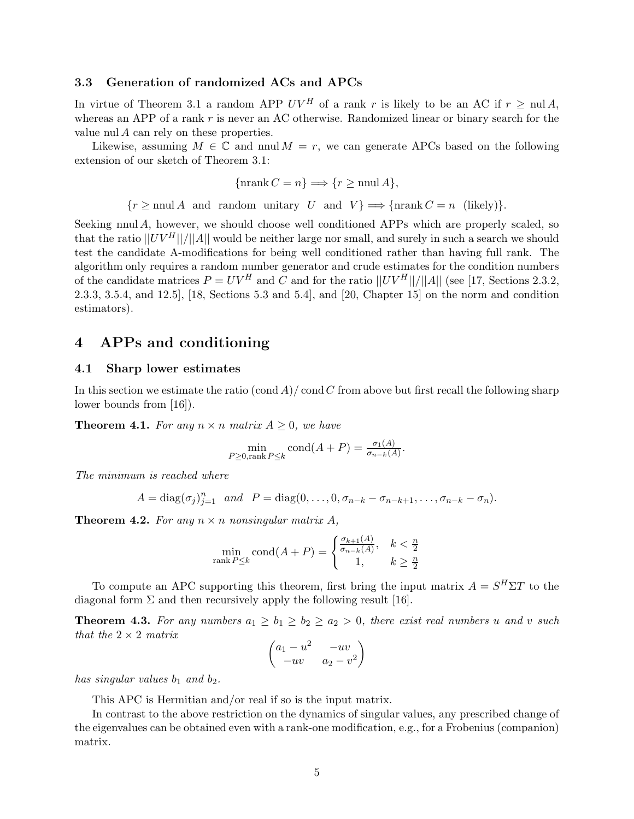#### **3.3 Generation of randomized ACs and APCs**

In virtue of Theorem 3.1 a random APP  $UV^H$  of a rank r is likely to be an AC if  $r > \text{null } A$ , whereas an APP of a rank  $r$  is never an AC otherwise. Randomized linear or binary search for the value nul A can rely on these properties.

Likewise, assuming  $M \in \mathbb{C}$  and nnul  $M = r$ , we can generate APCs based on the following extension of our sketch of Theorem 3.1:

$$
\{\operatorname{nrank} C = n\} \Longrightarrow \{r \ge \operatorname{nnul} A\},\
$$

 $\{r \ge \text{nnul } A \text{ and random unitary } U \text{ and } V\} \Longrightarrow \{\text{nrank } C = n \text{ (likely)}\}.$ 

Seeking nnul A, however, we should choose well conditioned APPs which are properly scaled, so that the ratio  $||UV^H||/||A||$  would be neither large nor small, and surely in such a search we should test the candidate A-modifications for being well conditioned rather than having full rank. The algorithm only requires a random number generator and crude estimates for the condition numbers of the candidate matrices  $P = UV^H$  and C and for the ratio  $||UV^H||/||A||$  (see [17, Sections 2.3.2, 2.3.3, 3.5.4, and 12.5], [18, Sections 5.3 and 5.4], and [20, Chapter 15] on the norm and condition estimators).

## **4 APPs and conditioning**

#### **4.1 Sharp lower estimates**

In this section we estimate the ratio  $(\text{cond } A)/\text{cond } C$  from above but first recall the following sharp lower bounds from [16]).

**Theorem 4.1.** For any  $n \times n$  matrix  $A \geq 0$ , we have

$$
\min_{P \ge 0, \text{rank } P \le k} \text{cond}(A + P) = \frac{\sigma_1(A)}{\sigma_{n-k}(A)}.
$$

*The minimum is reached where*

$$
A = diag(\sigma_j)_{j=1}^n \quad and \quad P = diag(0, \ldots, 0, \sigma_{n-k} - \sigma_{n-k+1}, \ldots, \sigma_{n-k} - \sigma_n).
$$

**Theorem 4.2.** For any  $n \times n$  nonsingular matrix A,

$$
\min_{\text{rank } P \le k} \text{cond}(A + P) = \begin{cases} \frac{\sigma_{k+1}(A)}{\sigma_{n-k}(A)}, & k < \frac{n}{2} \\ 1, & k \ge \frac{n}{2} \end{cases}
$$

To compute an APC supporting this theorem, first bring the input matrix  $A = S^H \Sigma T$  to the diagonal form  $\Sigma$  and then recursively apply the following result [16].

**Theorem 4.3.** For any numbers  $a_1 \geq b_1 \geq b_2 \geq a_2 > 0$ , there exist real numbers u and v such *that the* 2 × 2 *matrix*

$$
\begin{pmatrix} a_1 - u^2 & -uv \ -uv & a_2 - v^2 \end{pmatrix}
$$

*has singular values*  $b_1$  *and*  $b_2$ *.* 

This APC is Hermitian and/or real if so is the input matrix.

In contrast to the above restriction on the dynamics of singular values, any prescribed change of the eigenvalues can be obtained even with a rank-one modification, e.g., for a Frobenius (companion) matrix.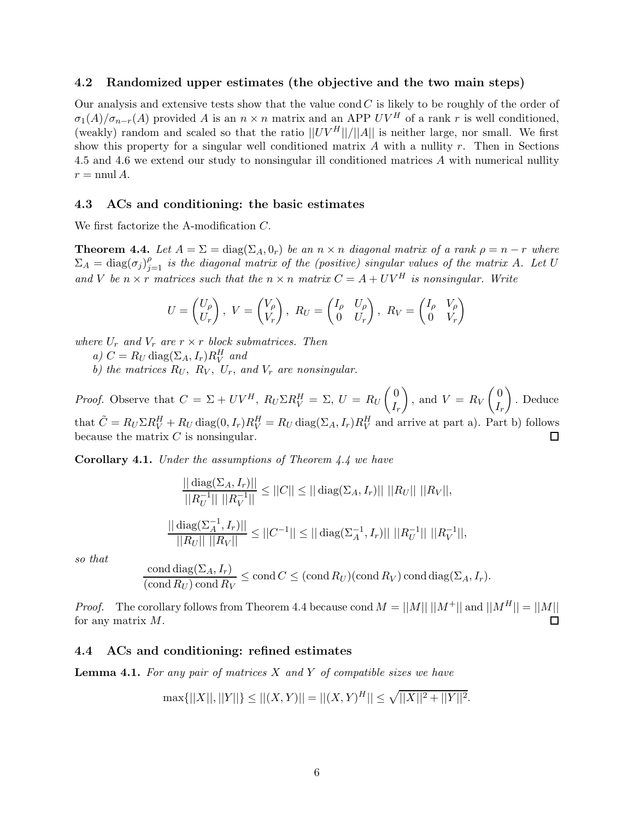#### **4.2 Randomized upper estimates (the objective and the two main steps)**

Our analysis and extensive tests show that the value cond  $C$  is likely to be roughly of the order of  $\sigma_1(A)/\sigma_{n-r}(A)$  provided A is an  $n \times n$  matrix and an APP  $UV^H$  of a rank r is well conditioned, (weakly) random and scaled so that the ratio  $||UV^H||/||A||$  is neither large, nor small. We first show this property for a singular well conditioned matrix  $A$  with a nullity  $r$ . Then in Sections 4.5 and 4.6 we extend our study to nonsingular ill conditioned matrices A with numerical nullity  $r = \text{nnul } A$ .

#### **4.3 ACs and conditioning: the basic estimates**

We first factorize the A-modification C.

**Theorem 4.4.** Let  $A = \Sigma = \text{diag}(\Sigma_A, 0_r)$  be an  $n \times n$  diagonal matrix of a rank  $\rho = n - r$  where  $\Sigma_A = \text{diag}(\sigma_j)_{j=1}^{\rho}$  *is the diagonal matrix of the (positive) singular values of the matrix* A. Let U *and* V *be*  $n \times r$  *matrices such that the*  $n \times n$  *matrix*  $C = A + UV^H$  *is nonsingular. Write* 

$$
U = \begin{pmatrix} U_{\rho} \\ U_{r} \end{pmatrix}, V = \begin{pmatrix} V_{\rho} \\ V_{r} \end{pmatrix}, R_{U} = \begin{pmatrix} I_{\rho} & U_{\rho} \\ 0 & U_{r} \end{pmatrix}, R_{V} = \begin{pmatrix} I_{\rho} & V_{\rho} \\ 0 & V_{r} \end{pmatrix}
$$

*where*  $U_r$  *and*  $V_r$  *are*  $r \times r$  *block submatrices. Then* 

- *a)*  $C = R_U \text{diag}(\Sigma_A, I_r) R_V^H$  *and*
- *b)* the matrices  $R_U$ ,  $R_V$ ,  $U_r$ , and  $V_r$  are nonsingular.

*Proof.* Observe that  $C = \Sigma + UV^H$ ,  $R_U \Sigma R_V^H = \Sigma$ ,  $U = R_U \begin{pmatrix} 0 & 0 \\ I & \end{pmatrix}$ ), and  $V = R_V \begin{pmatrix} 0 \\ I \end{pmatrix}$  . Deduce  $I_r$  $I_r$ that  $\tilde{C} = R_U \Sigma R_V^H + R_U \text{diag}(0, I_r) R_V^H = R_U \text{diag}(\Sigma_A, I_r) R_V^H$  and arrive at part a). Part b) follows because the matrix  $C$  is nonsingular.  $\Box$ 

**Corollary 4.1.** *Under the assumptions of Theorem 4.4 we have*

$$
\frac{|| \operatorname{diag}(\Sigma_A, I_r) ||}{||R_U^{-1}|| ||R_V^{-1}||} \le ||C|| \le || \operatorname{diag}(\Sigma_A, I_r) || ||R_U|| ||R_V||,
$$
  

$$
\frac{|| \operatorname{diag}(\Sigma_A^{-1}, I_r) ||}{||R_U|| ||R_V||} \le ||C^{-1}|| \le || \operatorname{diag}(\Sigma_A^{-1}, I_r) || ||R_U^{-1}|| ||R_V^{-1}||,
$$

*so that*

$$
\frac{\text{cond diag}(\Sigma_A, I_r)}{(\text{cond } R_U) \text{ cond } R_V} \le \text{cond } C \le (\text{cond } R_U)(\text{cond } R_V) \text{ cond } \text{diag}(\Sigma_A, I_r).
$$

*Proof.* The corollary follows from Theorem 4.4 because cond  $M = ||M|| ||M^+||$  and  $||M^H|| = ||M||$ for any matrix M.  $\Box$ 

#### **4.4 ACs and conditioning: refined estimates**

**Lemma 4.1.** *For any pair of matrices* X *and* Y *of compatible sizes we have*

$$
\max\{||X||,||Y||\} \le ||(X,Y)|| = ||(X,Y)^H|| \le \sqrt{||X||^2 + ||Y||^2}.
$$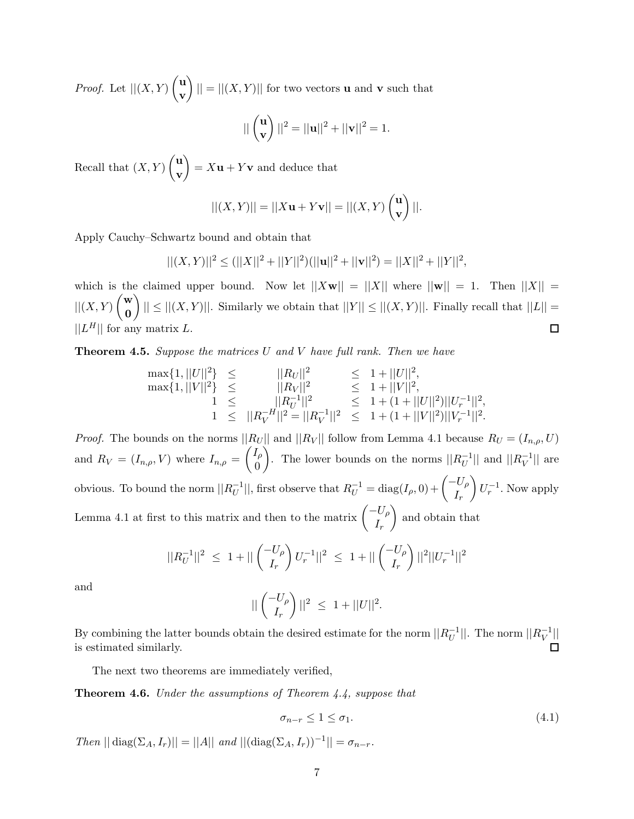*Proof.* Let  $||(X,Y)|\big|_{\mathbb{R}^n}$ **v**  $|| = ||(X, Y)||$  for two vectors **u** and **v** such that

$$
||\begin{pmatrix} \mathbf{u} \\ \mathbf{v} \end{pmatrix}||^2 = ||\mathbf{u}||^2 + ||\mathbf{v}||^2 = 1.
$$

Recall that  $(X, Y) \begin{pmatrix} u \\ v \end{pmatrix}$ **v**  $\bigg\} = X\mathbf{u} + Y\mathbf{v}$  and deduce that

$$
||(X,Y)|| = ||X\mathbf{u} + Y\mathbf{v}|| = ||(X,Y) \begin{pmatrix} \mathbf{u} \\ \mathbf{v} \end{pmatrix}||.
$$

Apply Cauchy–Schwartz bound and obtain that

$$
||(X,Y)||^2 \le (||X||^2 + ||Y||^2)(||\mathbf{u}||^2 + ||\mathbf{v}||^2) = ||X||^2 + ||Y||^2,
$$

which is the claimed upper bound. Now let  $||Xw|| = ||X||$  where  $||w|| = 1$ . Then  $||X|| =$  $||(X,Y)$  $\begin{pmatrix} \mathbf{w} \\ \mathbf{0} \end{pmatrix}$  $||| \leq ||(X,Y)||$ . Similarly we obtain that  $||Y|| \leq ||(X,Y)||$ . Finally recall that  $||L|| =$ **0**  $||L^H||$  for any matrix L.  $\Box$ 

**Theorem 4.5.** *Suppose the matrices* U *and* V *have full rank. Then we have*

$$
\max\{1, ||U||^2\} \leq ||R_U||^2 \leq 1 + ||U||^2, \n\max\{1, ||V||^2\} \leq ||R_V||^2 \leq 1 + ||V||^2, \n1 \leq ||R_V^{-1}||^2 = ||R_V^{-1}||^2 \leq 1 + (1 + ||U||^2) ||U_r^{-1}||^2, \n1 \leq ||R_V^{-H}||^2 = ||R_V^{-1}||^2 \leq 1 + (1 + ||V||^2) ||V_r^{-1}||^2.
$$

*Proof.* The bounds on the norms  $||R_U||$  and  $||R_V||$  follow from Lemma 4.1 because  $R_U = (I_{n,\rho}, U)$ and  $R_V = (I_{n,\rho}, V)$  where  $I_{n,\rho} = \begin{pmatrix} I_{\rho} \\ 0 \end{pmatrix}$ 0 ). The lower bounds on the norms  $||R_U^{-1}||$  and  $||R_V^{-1}||$  are obvious. To bound the norm  $||R_U^{-1}||$ , first observe that  $R_U^{-1} = \text{diag}(I_\rho, 0) + \begin{pmatrix} -U_\rho \\ I_\rho \end{pmatrix}$  $I_r$  $\left\langle U_r^{-1} \right\rangle$ . Now apply Lemma 4.1 at first to this matrix and then to the matrix  $\begin{pmatrix} -U_{\rho} \\ I \end{pmatrix}$  $I_r$ and obtain that

$$
||R_U^{-1}||^2 \ \leq \ 1 + ||\begin{pmatrix} -U_\rho \\ I_r \end{pmatrix} U_r^{-1}||^2 \ \leq \ 1 + ||\begin{pmatrix} -U_\rho \\ I_r \end{pmatrix}||^2||U_r^{-1}||^2
$$

and

$$
||\begin{pmatrix} -U_{\rho} \\ I_r \end{pmatrix}||^2 \leq 1 + ||U||^2.
$$

By combining the latter bounds obtain the desired estimate for the norm  $||R_U^{-1}||$ . The norm  $||R_V^{-1}||$ is estimated similarly.

The next two theorems are immediately verified,

**Theorem 4.6.** *Under the assumptions of Theorem 4.4, suppose that*

$$
\sigma_{n-r} \le 1 \le \sigma_1. \tag{4.1}
$$

*Then*  $|| \text{diag}(\Sigma_A, I_r)|| = ||A||$  *and*  $|| (\text{diag}(\Sigma_A, I_r))^{-1}|| = \sigma_{n-r}$ *.*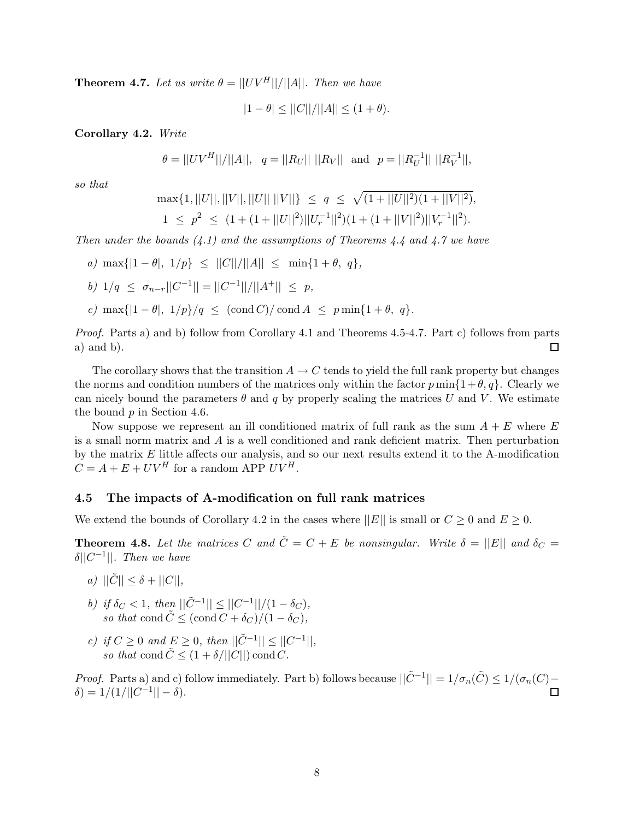**Theorem 4.7.** Let us write  $\theta = ||UV^H||/||A||$ . Then we have

 $|1 - \theta| \leq ||C||/||A|| \leq (1 + \theta).$ 

**Corollary 4.2.** *Write*

$$
\theta = ||UV^H||/||A||, \quad q = ||R_U|| \, ||R_V|| \quad \text{and} \quad p = ||R_U^{-1}|| \, ||R_V^{-1}||,
$$

*so that*

$$
\max\{1, ||U||, ||V||, ||U|| \, ||V||\} \le q \le \sqrt{(1+||U||^2)(1+||V||^2)},
$$
  

$$
1 \le p^2 \le (1+(1+||U||^2)||U_r^{-1}||^2)(1+(1+||V||^2)||V_r^{-1}||^2).
$$

*Then under the bounds (4.1) and the assumptions of Theorems 4.4 and 4.7 we have*

- *a)*  $\max\{|1 \theta|, 1/p\} \leq ||C||/||A|| \leq \min\{1 + \theta, q\},\$
- *b*)  $1/q < \sigma_{n-r}$  $||C^{-1}|| = ||C^{-1}||/||A^{+}|| < p$ ,
- *c)* max $\{|1 \theta|, 1/p\}/q \leq (\text{cond } C)/\text{cond } A \leq p \min\{1 + \theta, q\}.$

*Proof.* Parts a) and b) follow from Corollary 4.1 and Theorems 4.5-4.7. Part c) follows from parts a) and b).  $\Box$ 

The corollary shows that the transition  $A \to C$  tends to yield the full rank property but changes the norms and condition numbers of the matrices only within the factor  $p \min\{1+\theta, q\}$ . Clearly we can nicely bound the parameters  $\theta$  and q by properly scaling the matrices U and V. We estimate the bound p in Section 4.6.

Now suppose we represent an ill conditioned matrix of full rank as the sum  $A + E$  where E is a small norm matrix and  $A$  is a well conditioned and rank deficient matrix. Then perturbation by the matrix  $E$  little affects our analysis, and so our next results extend it to the A-modification  $C = A + E + UV^H$  for a random APP  $UV^H$ .

#### **4.5 The impacts of A-modification on full rank matrices**

We extend the bounds of Corollary 4.2 in the cases where  $||E||$  is small or  $C \geq 0$  and  $E \geq 0$ .

**Theorem 4.8.** Let the matrices C and  $\tilde{C} = C + E$  be nonsingular. Write  $\delta = ||E||$  and  $\delta_C =$ δ||C−1||*. Then we have*

- *a*)  $||\tilde{C}|| \leq \delta + ||C||$ ,
- *b)* if  $\delta_C < 1$ , then  $||\tilde{C}^{-1}|| \leq ||C^{-1}||/(1 \delta_C)$ , *so that* cond  $\tilde{C} \leq (\text{cond } C + \delta_C)/(1 - \delta_C)$ ,
- *c)* if  $C \ge 0$  and  $E \ge 0$ , then  $||\tilde{C}^{-1}|| \le ||C^{-1}||$ , *so that* cond  $\tilde{C} \leq (1 + \delta/||C||)$  cond C.

*Proof.* Parts a) and c) follow immediately. Part b) follows because  $||\tilde{C}^{-1}|| = 1/\sigma_n(\tilde{C}) \leq 1/(\sigma_n(C)$  $δ) = 1/(1/||C^{-1}|| - δ).$ П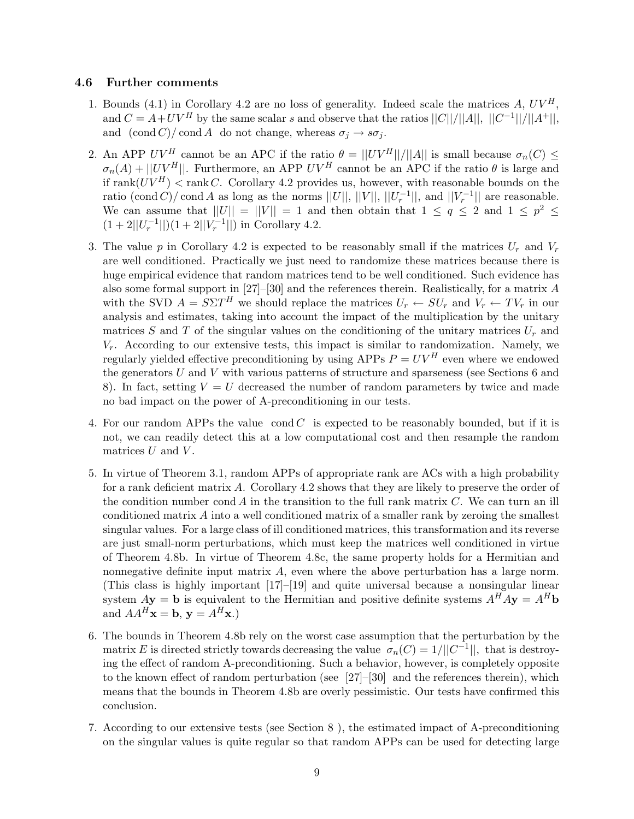#### **4.6 Further comments**

- 1. Bounds (4.1) in Corollary 4.2 are no loss of generality. Indeed scale the matrices A,  $UV^H$ , and  $C = A+UV^H$  by the same scalar s and observe that the ratios  $||C||/||A||$ ,  $||C^{-1}||/||A^+||$ , and  $(\text{cond } C)/ \text{cond } A$  do not change, whereas  $\sigma_j \to s \sigma_j$ .
- 2. An APP  $UV^H$  cannot be an APC if the ratio  $\theta = ||UV^H||/||A||$  is small because  $\sigma_n(C) \leq$  $\sigma_n(A) + ||UV^H||$ . Furthermore, an APP  $UV^H$  cannot be an APC if the ratio  $\theta$  is large and if rank $(UV^H)$  < rank C. Corollary 4.2 provides us, however, with reasonable bounds on the ratio (cond C)/ cond A as long as the norms  $||U||$ ,  $||V||$ ,  $||U_r^{-1}||$ , and  $||V_r^{-1}||$  are reasonable. We can assume that  $||U|| = ||V|| = 1$  and then obtain that  $1 \le q \le 2$  and  $1 \le p^2 \le$  $(1+2||U_r^{-1}||)(1+2||V_r^{-1}||)$  in Corollary 4.2.
- 3. The value p in Corollary 4.2 is expected to be reasonably small if the matrices  $U_r$  and  $V_r$ are well conditioned. Practically we just need to randomize these matrices because there is huge empirical evidence that random matrices tend to be well conditioned. Such evidence has also some formal support in [27]–[30] and the references therein. Realistically, for a matrix A with the SVD  $A = S\Sigma T^H$  we should replace the matrices  $U_r \leftarrow SU_r$  and  $V_r \leftarrow TV_r$  in our analysis and estimates, taking into account the impact of the multiplication by the unitary matrices S and T of the singular values on the conditioning of the unitary matrices  $U_r$  and  $V_r$ . According to our extensive tests, this impact is similar to randomization. Namely, we regularly yielded effective preconditioning by using APPs  $P = UV^H$  even where we endowed the generators  $U$  and  $V$  with various patterns of structure and sparseness (see Sections 6 and 8). In fact, setting  $V = U$  decreased the number of random parameters by twice and made no bad impact on the power of A-preconditioning in our tests.
- 4. For our random APPs the value cond  $C$  is expected to be reasonably bounded, but if it is not, we can readily detect this at a low computational cost and then resample the random matrices  $U$  and  $V$ .
- 5. In virtue of Theorem 3.1, random APPs of appropriate rank are ACs with a high probability for a rank deficient matrix A. Corollary 4.2 shows that they are likely to preserve the order of the condition number cond A in the transition to the full rank matrix  $C$ . We can turn an ill conditioned matrix  $A$  into a well conditioned matrix of a smaller rank by zeroing the smallest singular values. For a large class of ill conditioned matrices, this transformation and its reverse are just small-norm perturbations, which must keep the matrices well conditioned in virtue of Theorem 4.8b. In virtue of Theorem 4.8c, the same property holds for a Hermitian and nonnegative definite input matrix A, even where the above perturbation has a large norm. (This class is highly important [17]–[19] and quite universal because a nonsingular linear system  $A$ **y** = **b** is equivalent to the Hermitian and positive definite systems  $A^H A$ **y** =  $A^H b$ and  $AA^H$ **x** = **b**, **y** =  $A^H$ **x**.)
- 6. The bounds in Theorem 4.8b rely on the worst case assumption that the perturbation by the matrix E is directed strictly towards decreasing the value  $\sigma_n(C)=1/||C^{-1}||$ , that is destroying the effect of random A-preconditioning. Such a behavior, however, is completely opposite to the known effect of random perturbation (see [27]–[30] and the references therein), which means that the bounds in Theorem 4.8b are overly pessimistic. Our tests have confirmed this conclusion.
- 7. According to our extensive tests (see Section 8 ), the estimated impact of A-preconditioning on the singular values is quite regular so that random APPs can be used for detecting large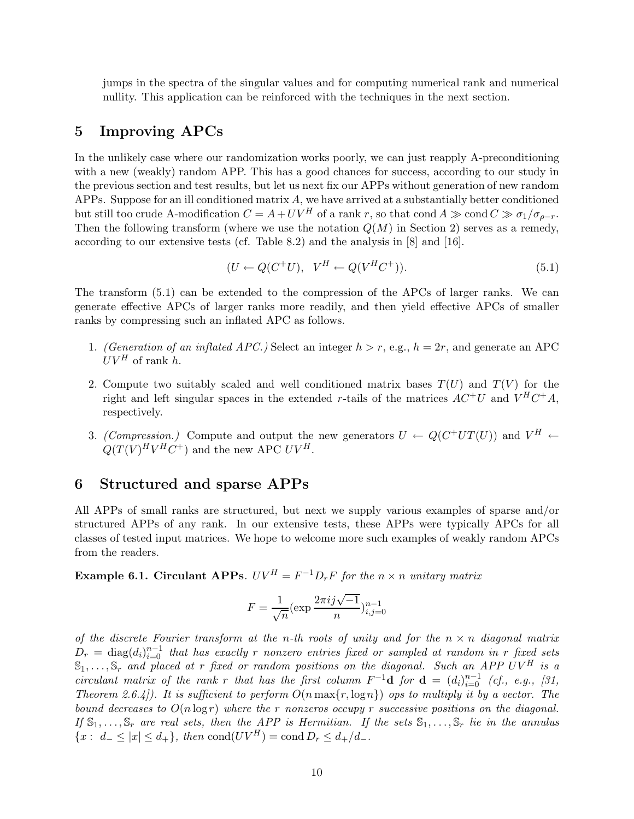jumps in the spectra of the singular values and for computing numerical rank and numerical nullity. This application can be reinforced with the techniques in the next section.

## **5 Improving APCs**

In the unlikely case where our randomization works poorly, we can just reapply A-preconditioning with a new (weakly) random APP. This has a good chances for success, according to our study in the previous section and test results, but let us next fix our APPs without generation of new random APPs. Suppose for an ill conditioned matrix A, we have arrived at a substantially better conditioned but still too crude A-modification  $C = A + UV^H$  of a rank r, so that cond  $A \gg \text{cond } C \gg \sigma_1/\sigma_{\rho-r}$ . Then the following transform (where we use the notation  $Q(M)$  in Section 2) serves as a remedy, according to our extensive tests (cf. Table 8.2) and the analysis in [8] and [16].

$$
(U \leftarrow Q(C^+U), \quad V^H \leftarrow Q(V^HC^+)).\tag{5.1}
$$

The transform (5.1) can be extended to the compression of the APCs of larger ranks. We can generate effective APCs of larger ranks more readily, and then yield effective APCs of smaller ranks by compressing such an inflated APC as follows.

- 1. *(Generation of an inflated APC.)* Select an integer  $h > r$ , e.g.,  $h = 2r$ , and generate an APC  $UV^H$  of rank h.
- 2. Compute two suitably scaled and well conditioned matrix bases  $T(U)$  and  $T(V)$  for the right and left singular spaces in the extended r-tails of the matrices  $AC^+U$  and  $V^HC^+A$ , respectively.
- 3. *(Compression.)* Compute and output the new generators  $U \leftarrow Q(C^+UT(U))$  and  $V^H \leftarrow$  $Q(T(V)^H V^H C^+)$  and the new APC  $UV^H$ .

### **6 Structured and sparse APPs**

All APPs of small ranks are structured, but next we supply various examples of sparse and/or structured APPs of any rank. In our extensive tests, these APPs were typically APCs for all classes of tested input matrices. We hope to welcome more such examples of weakly random APCs from the readers.

**Example 6.1. Circulant APPs***.*  $UV^H = F^{-1}D_rF$  *for the*  $n \times n$  *unitary matrix* 

$$
F = \frac{1}{\sqrt{n}} (\exp \frac{2\pi i j \sqrt{-1}}{n})_{i,j=0}^{n-1}
$$

*of the discrete Fourier transform at the* n*-th roots of unity and for the* n × n *diagonal matrix*  $D_r = \text{diag}(d_i)_{i=0}^{n-1}$  that has exactly r nonzero entries fixed or sampled at random in r fixed sets  $\mathbb{S}_1,\ldots,\mathbb{S}_r$  and placed at r fixed or random positions on the diagonal. Such an APP UV<sup>H</sup> is a *circulant matrix of the rank* r *that has the first column*  $F^{-1}$ **d** *for* **d** =  $(d_i)_{i=0}^{n-1}$  *(cf., e.g., [31, Theorem 2.6.4]). It is sufficient to perform* O(n max{r, logn}) *ops to multiply it by a vector. The bound decreases to* O(n log r) *where the* r *nonzeros occupy* r *successive positions on the diagonal.* If  $\mathbb{S}_1,\ldots,\mathbb{S}_r$  are real sets, then the APP is Hermitian. If the sets  $\mathbb{S}_1,\ldots,\mathbb{S}_r$  lie in the annulus  $\{x: d_-\leq |x|\leq d_+\},\$  then  $\text{cond}(UV^H)=\text{cond }D_r\leq d_+/d_-.$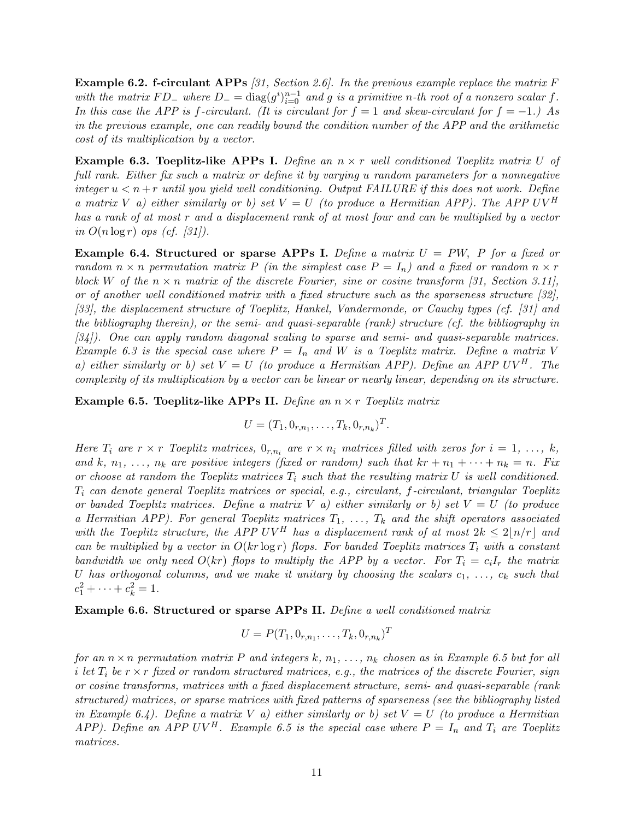**Example 6.2. f-circulant APPs** *[31, Section 2.6]. In the previous example replace the matrix* F *with the matrix*  $FD_$  *where*  $D_$  =  $diag(g^i)_{i=0}^{n-1}$  *and* g *is a primitive n-th root of a nonzero scalar* f. *In this case the APP is* f-circulant. (It is circulant for  $f = 1$  and skew-circulant for  $f = -1$ .) As *in the previous example, one can readily bound the condition number of the APP and the arithmetic cost of its multiplication by a vector.*

**Example 6.3. Toeplitz-like APPs I.** *Define an* n × r *well conditioned Toeplitz matrix* U *of full rank. Either fix such a matrix or define it by varying* u *random parameters for a nonnegative integer*  $u < n + r$  *until you yield well conditioning. Output FAILURE if this does not work. Define a matrix* V *a)* either similarly or b) set  $V = U$  (to produce a Hermitian APP). The APP UV<sup>H</sup> *has a rank of at most* r *and a displacement rank of at most four and can be multiplied by a vector in*  $O(n \log r)$  *ops (cf. [31]).* 

**Example 6.4. Structured or sparse APPs I.** *Define a matrix* U = PW, P *for a fixed or random*  $n \times n$  *permutation matrix* P *(in the simplest case*  $P = I_n$ *) and a fixed or random*  $n \times r$ block W of the  $n \times n$  matrix of the discrete Fourier, sine or cosine transform [31, Section 3.11], *or of another well conditioned matrix with a fixed structure such as the sparseness structure [32], [33], the displacement structure of Toeplitz, Hankel, Vandermonde, or Cauchy types (cf. [31] and the bibliography therein), or the semi- and quasi-separable (rank) structure (cf. the bibliography in [34]). One can apply random diagonal scaling to sparse and semi- and quasi-separable matrices. Example 6.3 is the special case where*  $P = I_n$  *and W is a Toeplitz matrix. Define a matrix V a) either similarly or b) set*  $V = U$  *(to produce a Hermitian APP). Define an APP UV<sup>H</sup>. The complexity of its multiplication by a vector can be linear or nearly linear, depending on its structure.*

**Example 6.5. Toeplitz-like APPs II.** *Define an* n × r *Toeplitz matrix*

$$
U = (T_1, 0_{r,n_1}, \ldots, T_k, 0_{r,n_k})^T.
$$

*Here*  $T_i$  are  $r \times r$  *Toeplitz matrices,*  $0_{r,n_i}$  are  $r \times n_i$  *matrices filled with zeros for*  $i = 1, \ldots, k$ *,* and k,  $n_1, \ldots, n_k$  are positive integers (fixed or random) such that  $kr + n_1 + \cdots + n_k = n$ . Fix *or choose at random the Toeplitz matrices*  $T_i$  *such that the resulting matrix* U *is well conditioned.* T<sup>i</sup> *can denote general Toeplitz matrices or special, e.g., circulant,* f*-circulant, triangular Toeplitz or banded Toeplitz matrices. Define a matrix* V *a) either similarly or b) set* V = U *(to produce a Hermitian APP). For general Toeplitz matrices*  $T_1, \ldots, T_k$  *and the shift operators associated* with the Toeplitz structure, the APP UV<sup>H</sup> has a displacement rank of at most  $2k \leq 2\lceil n/r \rceil$  and *can be multiplied by a vector in*  $O(kr \log r)$  *flops. For banded Toeplitz matrices*  $T_i$  *with a constant bandwidth we only need*  $O(kr)$  *flops to multiply the APP by a vector. For*  $T_i = c_iI_r$  *the matrix* U has orthogonal columns, and we make it unitary by choosing the scalars  $c_1, \ldots, c_k$  such that  $c_1^2 + \cdots + c_k^2 = 1.$ 

**Example 6.6. Structured or sparse APPs II.** *Define a well conditioned matrix*

$$
U = P(T_1, 0_{r,n_1}, \dots, T_k, 0_{r,n_k})^T
$$

*for an*  $n \times n$  *permutation matrix* P *and integers* k,  $n_1, \ldots, n_k$  *chosen as in Example 6.5 but for all* i let  $T_i$  be  $r \times r$  fixed or random structured matrices, e.g., the matrices of the discrete Fourier, sign *or cosine transforms, matrices with a fixed displacement structure, semi- and quasi-separable (rank structured) matrices, or sparse matrices with fixed patterns of sparseness (see the bibliography listed in Example 6.4). Define a matrix* V *a) either similarly or b) set* V = U *(to produce a Hermitian APP*). Define an *APP UV<sup>H</sup>. Example 6.5 is the special case where*  $P = I_n$  and  $T_i$  are Toeplitz *matrices.*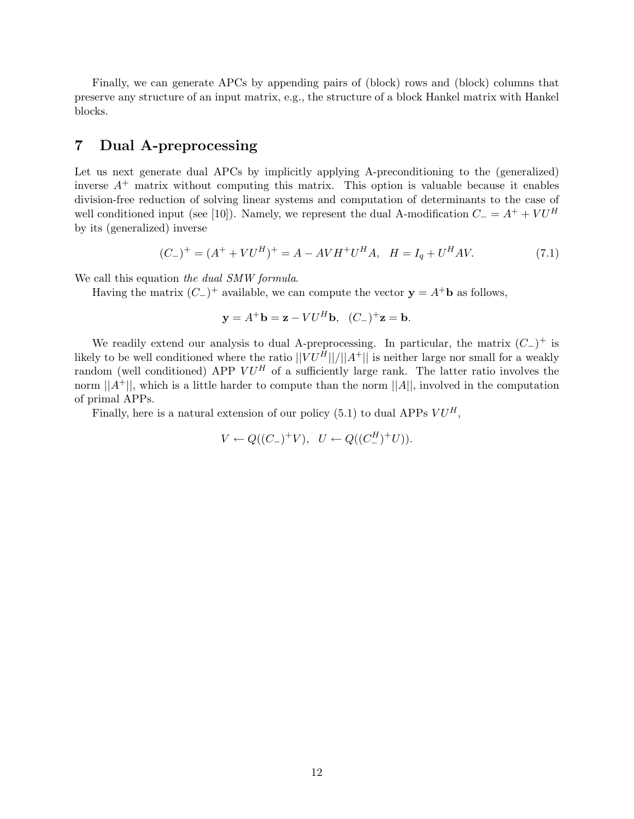Finally, we can generate APCs by appending pairs of (block) rows and (block) columns that preserve any structure of an input matrix, e.g., the structure of a block Hankel matrix with Hankel blocks.

## **7 Dual A-preprocessing**

Let us next generate dual APCs by implicitly applying A-preconditioning to the (generalized) inverse  $A^+$  matrix without computing this matrix. This option is valuable because it enables division-free reduction of solving linear systems and computation of determinants to the case of well conditioned input (see [10]). Namely, we represent the dual A-modification  $C_ = A^+ + VU^H$ by its (generalized) inverse

$$
(C_{-})^{+} = (A^{+} + VU^{H})^{+} = A - AVH^{+}U^{H}A, \quad H = I_{q} + U^{H}AV.
$$
\n(7.1)

We call this equation *the dual SMW formula*.

Having the matrix  $(C_{-})^{+}$  available, we can compute the vector  $\mathbf{y} = A^{+}\mathbf{b}$  as follows,

$$
\mathbf{y} = A^+ \mathbf{b} = \mathbf{z} - V U^H \mathbf{b}, \quad (C_-)^+ \mathbf{z} = \mathbf{b}.
$$

We readily extend our analysis to dual A-preprocessing. In particular, the matrix  $(C_{-})^{+}$  is likely to be well conditioned where the ratio  $||\overrightarrow{V}U^{\hat{H}}||/||A^+||$  is neither large nor small for a weakly random (well conditioned) APP  $V U^H$  of a sufficiently large rank. The latter ratio involves the norm  $||A^+||$ , which is a little harder to compute than the norm  $||A||$ , involved in the computation of primal APPs.

Finally, here is a natural extension of our policy (5.1) to dual APPs  $VU^H$ ,

$$
V \leftarrow Q((C_{-})^{+}V), \quad U \leftarrow Q((C_{-}^{H})^{+}U)).
$$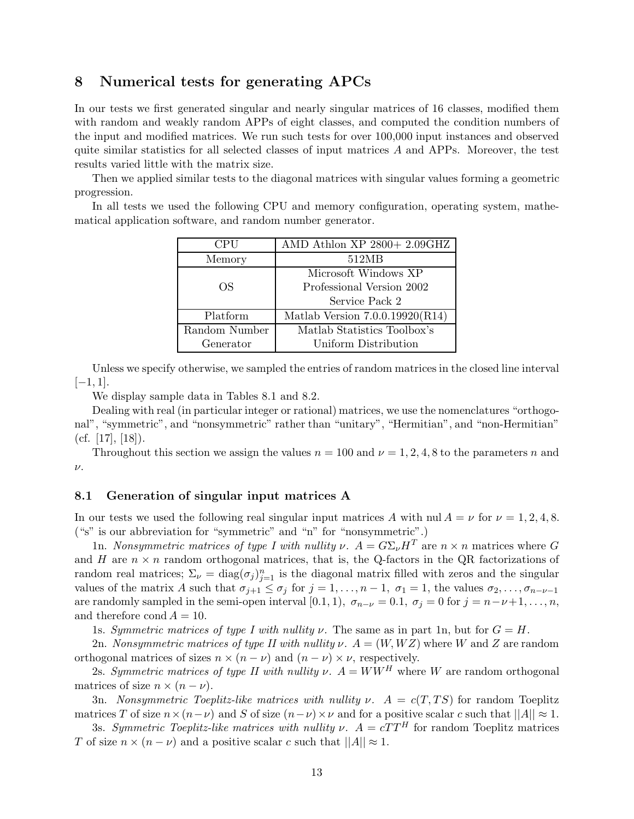## **8 Numerical tests for generating APCs**

In our tests we first generated singular and nearly singular matrices of 16 classes, modified them with random and weakly random APPs of eight classes, and computed the condition numbers of the input and modified matrices. We run such tests for over 100,000 input instances and observed quite similar statistics for all selected classes of input matrices  $A$  and APPs. Moreover, the test results varied little with the matrix size.

Then we applied similar tests to the diagonal matrices with singular values forming a geometric progression.

In all tests we used the following CPU and memory configuration, operating system, mathematical application software, and random number generator.

| <b>CPU</b>    | AMD Athlon XP 2800+ 2.09GHZ       |
|---------------|-----------------------------------|
| Memory        | 512MB                             |
|               | Microsoft Windows XP              |
| OS.           | Professional Version 2002         |
|               | Service Pack 2                    |
| Platform      | Matlab Version $7.0.0.19920(R14)$ |
| Random Number | Matlab Statistics Toolbox's       |
| Generator     | Uniform Distribution              |

Unless we specify otherwise, we sampled the entries of random matrices in the closed line interval  $[-1, 1].$ 

We display sample data in Tables 8.1 and 8.2.

Dealing with real (in particular integer or rational) matrices, we use the nomenclatures "orthogonal", "symmetric", and "nonsymmetric" rather than "unitary", "Hermitian", and "non-Hermitian"  $(cf. [17], [18]).$ 

Throughout this section we assign the values  $n = 100$  and  $\nu = 1, 2, 4, 8$  to the parameters n and  $\nu$ .

#### **8.1 Generation of singular input matrices A**

In our tests we used the following real singular input matrices A with nul  $A = \nu$  for  $\nu = 1, 2, 4, 8$ . ("s" is our abbreviation for "symmetric" and "n" for "nonsymmetric".)

1n. *Nonsymmetric matrices of type I with nullity*  $\nu$ .  $A = G \Sigma_{\nu} H^{T}$  are  $n \times n$  matrices where G and H are  $n \times n$  random orthogonal matrices, that is, the Q-factors in the QR factorizations of random real matrices;  $\Sigma_{\nu} = \text{diag}(\sigma_j)_{j=1}^n$  is the diagonal matrix filled with zeros and the singular values of the matrix A such that  $\sigma_{j+1} \leq \sigma_j$  for  $j = 1, \ldots, n-1, \sigma_1 = 1$ , the values  $\sigma_2, \ldots, \sigma_{n-\nu-1}$ are randomly sampled in the semi-open interval [0.1, 1),  $\sigma_{n-\nu} = 0.1$ ,  $\sigma_j = 0$  for  $j = n-\nu+1, \ldots, n$ , and therefore cond  $A = 10$ .

1s. *Symmetric matrices of type I with nullity*  $\nu$ . The same as in part 1n, but for  $G = H$ .

2n. *Nonsymmetric matrices of type II with nullity*  $\nu$ .  $A = (W, WZ)$  where W and Z are random orthogonal matrices of sizes  $n \times (n - \nu)$  and  $(n - \nu) \times \nu$ , respectively.

2s. *Symmetric matrices of type II with nullity*  $\nu$ .  $A = WW^H$  where W are random orthogonal matrices of size  $n \times (n - \nu)$ .

3n. *Nonsymmetric Toeplitz-like matrices with nullity*  $\nu$ .  $A = c(T, TS)$  for random Toeplitz matrices T of size  $n \times (n-\nu)$  and S of size  $(n-\nu) \times \nu$  and for a positive scalar c such that  $||A|| \approx 1$ .

3s. *Symmetric Toeplitz-like matrices with nullity*  $\nu$ .  $A = cTT^H$  for random Toeplitz matrices T of size  $n \times (n - \nu)$  and a positive scalar c such that  $||A|| \approx 1$ .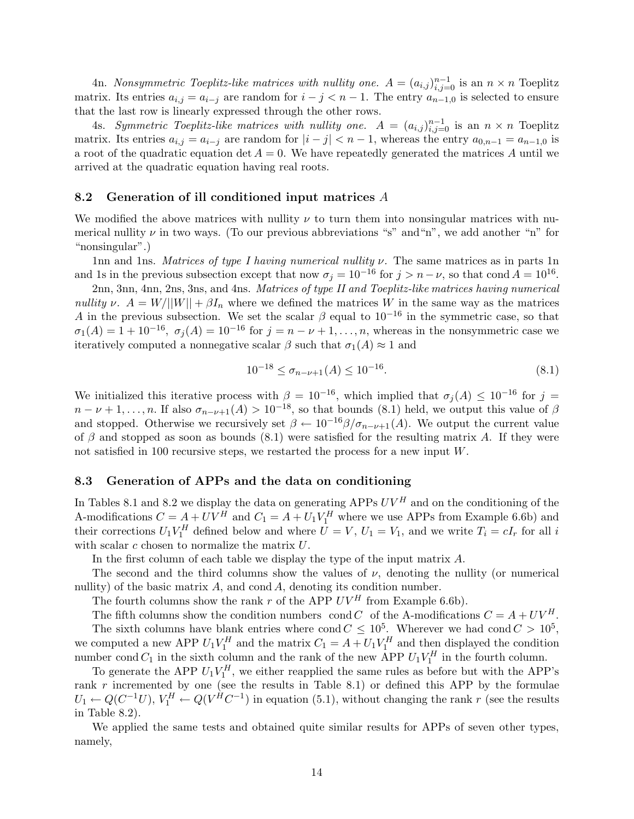4n. *Nonsymmetric Toeplitz-like matrices with nullity one.*  $A = (a_{i,j})_{i,j=0}^{n-1}$  is an  $n \times n$  Toeplitz matrix. Its entries  $a_{i,j} = a_{i-j}$  are random for  $i - j < n - 1$ . The entry  $a_{n-1,0}$  is selected to ensure that the last row is linearly expressed through the other rows.

4s. *Symmetric Toeplitz-like matrices with nullity one.*  $A = (a_{i,j})_{i,j=0}^{n-1}$  is an  $n \times n$  Toeplitz matrix. Its entries  $a_{i,j} = a_{i-j}$  are random for  $|i - j| < n - 1$ , whereas the entry  $a_{0,n-1} = a_{n-1,0}$  is a root of the quadratic equation det  $A = 0$ . We have repeatedly generated the matrices A until we arrived at the quadratic equation having real roots.

#### **8.2 Generation of ill conditioned input matrices** *A*

We modified the above matrices with nullity  $\nu$  to turn them into nonsingular matrices with numerical nullity  $\nu$  in two ways. (To our previous abbreviations "s" and "n", we add another "n" for "nonsingular".)

1nn and 1ns. *Matrices of type I having numerical nullity* ν*.* The same matrices as in parts 1n and 1s in the previous subsection except that now  $\sigma_j = 10^{-16}$  for  $j > n - \nu$ , so that cond  $A = 10^{16}$ .

2nn, 3nn, 4nn, 2ns, 3ns, and 4ns. *Matrices of type II and Toeplitz-like matrices having numerical nullity*  $\nu$ .  $A = W/||W|| + \beta I_n$  where we defined the matrices W in the same way as the matrices A in the previous subsection. We set the scalar  $\beta$  equal to  $10^{-16}$  in the symmetric case, so that  $\sigma_1(A) = 1 + 10^{-16}$ ,  $\sigma_i(A) = 10^{-16}$  for  $j = n - \nu + 1, \ldots, n$ , whereas in the nonsymmetric case we iteratively computed a nonnegative scalar  $\beta$  such that  $\sigma_1(A) \approx 1$  and

$$
10^{-18} \le \sigma_{n-\nu+1}(A) \le 10^{-16}.\tag{8.1}
$$

We initialized this iterative process with  $\beta = 10^{-16}$ , which implied that  $\sigma_j(A) \leq 10^{-16}$  for  $j =$  $n-\nu+1,\ldots,n$ . If also  $\sigma_{n-\nu+1}(A) > 10^{-18}$ , so that bounds (8.1) held, we output this value of  $\beta$ and stopped. Otherwise we recursively set  $\beta \leftarrow 10^{-16} \beta / \sigma_{n-\nu+1}(A)$ . We output the current value of  $\beta$  and stopped as soon as bounds (8.1) were satisfied for the resulting matrix A. If they were not satisfied in 100 recursive steps, we restarted the process for a new input W.

#### **8.3 Generation of APPs and the data on conditioning**

In Tables 8.1 and 8.2 we display the data on generating APPs  $UV^H$  and on the conditioning of the A-modifications  $C = A + UV^H$  and  $C_1 = A + U_1 V_1^H$  where we use APPs from Example 6.6b) and their corrections  $U_1 V_1^H$  defined below and where  $U = V$ ,  $U_1 = V_1$ , and we write  $T_i = cI_r$  for all i with scalar  $c$  chosen to normalize the matrix  $U$ .

In the first column of each table we display the type of the input matrix A.

The second and the third columns show the values of  $\nu$ , denoting the nullity (or numerical nullity) of the basic matrix  $A$ , and cond  $A$ , denoting its condition number.

The fourth columns show the rank  $r$  of the APP  $UV^H$  from Example 6.6b).

The fifth columns show the condition numbers cond C of the A-modifications  $C = A + UV^H$ . The sixth columns have blank entries where cond  $C \leq 10^5$ . Wherever we had cond  $C > 10^5$ , we computed a new APP  $U_1 V_1^H$  and the matrix  $C_1 = A + U_1 V_1^H$  and then displayed the condition number cond  $C_1$  in the sixth column and the rank of the new APP  $U_1V_1^H$  in the fourth column.

To generate the APP  $U_1 V_1^H$ , we either reapplied the same rules as before but with the APP's rank r incremented by one (see the results in Table 8.1) or defined this APP by the formulae  $U_1 \leftarrow Q(C^{-1}U), V_1^H \leftarrow Q(V^HC^{-1})$  in equation (5.1), without changing the rank r (see the results in Table 8.2).

We applied the same tests and obtained quite similar results for APPs of seven other types, namely,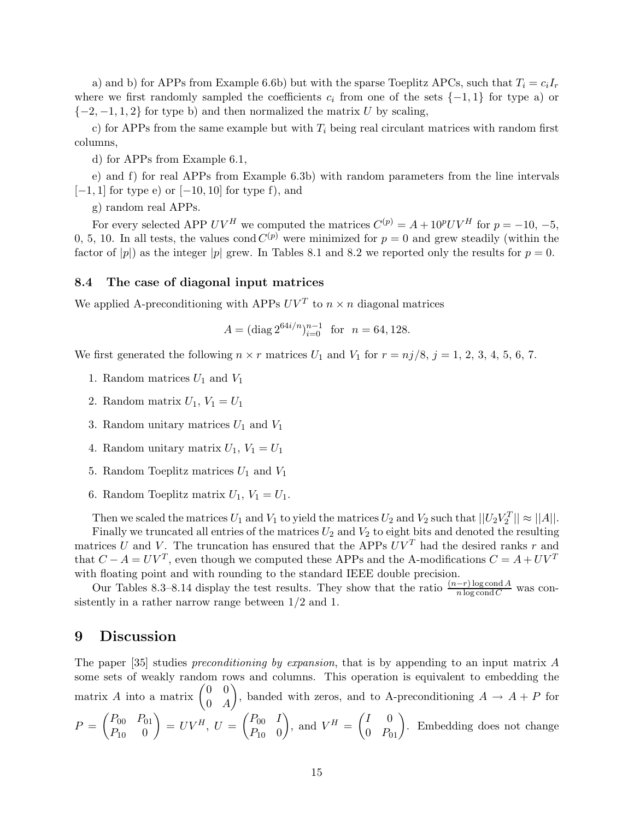a) and b) for APPs from Example 6.6b) but with the sparse Toeplitz APCs, such that  $T_i = c_i I_r$ where we first randomly sampled the coefficients  $c_i$  from one of the sets  $\{-1,1\}$  for type a) or  $\{-2, -1, 1, 2\}$  for type b) and then normalized the matrix U by scaling,

c) for APPs from the same example but with  $T_i$  being real circulant matrices with random first columns,

d) for APPs from Example 6.1,

e) and f) for real APPs from Example 6.3b) with random parameters from the line intervals  $[-1, 1]$  for type e) or  $[-10, 10]$  for type f), and

g) random real APPs.

For every selected APP  $UV^H$  we computed the matrices  $C^{(p)} = A + 10^p UV^H$  for  $p = -10, -5$ , 0, 5, 10. In all tests, the values cond  $C^{(p)}$  were minimized for  $p = 0$  and grew steadily (within the factor of |p|) as the integer |p| grew. In Tables 8.1 and 8.2 we reported only the results for  $p = 0$ .

#### **8.4 The case of diagonal input matrices**

We applied A-preconditioning with APPs  $UV^T$  to  $n \times n$  diagonal matrices

$$
A = (\text{diag } 2^{64i/n})_{i=0}^{n-1} \text{ for } n = 64, 128.
$$

We first generated the following  $n \times r$  matrices  $U_1$  and  $V_1$  for  $r = nj/8$ ,  $j = 1, 2, 3, 4, 5, 6, 7$ .

- 1. Random matrices  $U_1$  and  $V_1$
- 2. Random matrix  $U_1, V_1 = U_1$
- 3. Random unitary matrices  $U_1$  and  $V_1$
- 4. Random unitary matrix  $U_1, V_1 = U_1$
- 5. Random Toeplitz matrices  $U_1$  and  $V_1$
- 6. Random Toeplitz matrix  $U_1, V_1 = U_1$ .

Then we scaled the matrices  $U_1$  and  $V_1$  to yield the matrices  $U_2$  and  $V_2$  such that  $||U_2V_2^T|| \approx ||A||$ . Finally we truncated all entries of the matrices  $U_2$  and  $V_2$  to eight bits and denoted the resulting matrices U and V. The truncation has ensured that the APPs  $UV<sup>T</sup>$  had the desired ranks r and that  $C - A = UV^T$ , even though we computed these APPs and the A-modifications  $C = A + UV^T$ with floating point and with rounding to the standard IEEE double precision.

Our Tables 8.3–8.14 display the test results. They show that the ratio  $\frac{(n-r)\log \text{cond }A}{n \log \text{cond }C}$  was consistently in a rather narrow range between 1/2 and 1.

### **9 Discussion**

The paper [35] studies *preconditioning by expansion*, that is by appending to an input matrix A some sets of weakly random rows and columns. This operation is equivalent to embedding the matrix A into a matrix  $\begin{pmatrix} 0 & 0 \\ 0 & 4 \end{pmatrix}$  $0\quad A$ ), banded with zeros, and to A-preconditioning  $A \rightarrow A + P$  for  $P = \begin{pmatrix} P_{00} & P_{01} \\ P & 0 \end{pmatrix}$  $P_{10}$  0  $\Big) = UV^H, U = \begin{pmatrix} P_{00} & I \\ D & 0 \end{pmatrix}$  $P_{10}$  0 ), and  $V^H = \begin{pmatrix} I & 0 \\ 0 & P_{01} \end{pmatrix}$ . Embedding does not change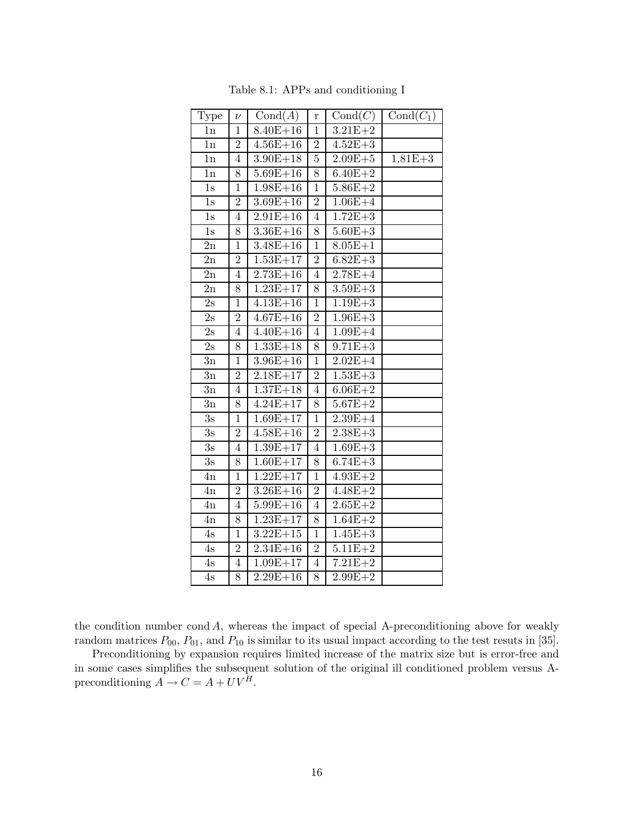| Type          | $\nu$            | Cond(A)      | r              | Cond(C)     | $Cond(C_1)$ |
|---------------|------------------|--------------|----------------|-------------|-------------|
| 1n            | 1                | $8.40E + 16$ | $\mathbf 1$    | $3.21E + 2$ |             |
| 1n            | $\overline{2}$   | $4.56E + 16$ | $\overline{2}$ | $4.52E + 3$ |             |
| 1n            | 4                | $3.90E + 18$ | $\overline{5}$ | $2.09E + 5$ | $1.81E + 3$ |
| 1n            | 8                | $5.69E + 16$ | 8              | $6.40E + 2$ |             |
| 1s            | $\mathbf{1}$     | $1.98E + 16$ | $\mathbf{1}$   | $5.86E + 2$ |             |
| 1s            | $\overline{2}$   | $3.69E + 16$ | $\overline{2}$ | $1.06E + 4$ |             |
| 1s            | $\overline{4}$   | $2.91E + 16$ | $\overline{4}$ | $1.72E + 3$ |             |
| $1s$          | 8                | $3.36E + 16$ | 8              | $5.60E + 3$ |             |
| 2n            | $\mathbf{1}$     | $3.48E + 16$ | $\mathbf 1$    | $8.05E + 1$ |             |
| 2n            | $\sqrt{2}$       | $1.53E + 17$ | $\overline{2}$ | $6.82E + 3$ |             |
| 2n            | $\overline{4}$   | $2.73E + 16$ | $\overline{4}$ | $2.78E + 4$ |             |
| 2n            | 8                | $1.23E + 17$ | 8              | $3.59E + 3$ |             |
| 2s            | $\mathbf 1$      | $4.13E + 16$ | $\mathbf 1$    | $1.19E + 3$ |             |
| $2{\rm s}$    | $\boldsymbol{2}$ | $4.67E + 16$ | $\overline{2}$ | $1.96E + 3$ |             |
| 2s            | $\overline{4}$   | $4.40E + 16$ | 4              | $1.09E + 4$ |             |
| $2\mathrm{s}$ | 8                | $1.33E + 18$ | 8              | $9.71E + 3$ |             |
| 3n            | $\mathbf{1}$     | $3.96E + 16$ | $\mathbf 1$    | $2.02E + 4$ |             |
| 3n            | $\overline{2}$   | $2.18E + 17$ | $\overline{2}$ | $1.53E + 3$ |             |
| 3n            | $\overline{4}$   | $1.37E + 18$ | $\overline{4}$ | $6.06E + 2$ |             |
| 3n            | 8                | $4.24E + 17$ | 8              | $5.67E + 2$ |             |
| 3s            | $\mathbf{1}$     | $1.69E + 17$ | $\mathbf 1$    | $2.39E + 4$ |             |
| 3s            | $\overline{2}$   | $4.58E + 16$ | $\overline{2}$ | $2.38E + 3$ |             |
| $3\mathrm{s}$ | $\overline{4}$   | $1.39E + 17$ | $\overline{4}$ | $1.69E + 3$ |             |
| $3\mathrm{s}$ | 8                | $1.60E + 17$ | 8              | $6.74E + 3$ |             |
| 4n            | $\overline{1}$   | $1.22E + 17$ | $\mathbf{1}$   | $4.93E + 2$ |             |
| 4n            | $\overline{2}$   | $3.26E + 16$ | $\overline{2}$ | $4.48E + 2$ |             |
| 4n            | $\overline{4}$   | $5.99E + 16$ | $\overline{4}$ | $2.65E + 2$ |             |
| 4n            | 8                | $1.23E + 17$ | 8              | $1.64E + 2$ |             |
| 4s            | $\mathbf{1}$     | $3.22E + 15$ | $\mathbf 1$    | $1.45E + 3$ |             |
| 4s            | $\overline{2}$   | $2.34E + 16$ | $\sqrt{2}$     | $5.11E + 2$ |             |
| 4s            | $\overline{4}$   | $1.09E + 17$ | $\sqrt{4}$     | $7.21E + 2$ |             |
| 4s            | 8                | $2.29E + 16$ | 8              | $2.99E + 2$ |             |

Table 8.1: APPs and conditioning I

the condition number cond  $A$ , whereas the impact of special A-preconditioning above for weakly random matrices  $P_{00}$ ,  $P_{01}$ , and  $P_{10}$  is similar to its usual impact according to the test resuts in [35].

Preconditioning by expansion requires limited increase of the matrix size but is error-free and in some cases simplifies the subsequent solution of the original ill conditioned problem versus Apreconditioning  $A \to C = A + UV^H$ .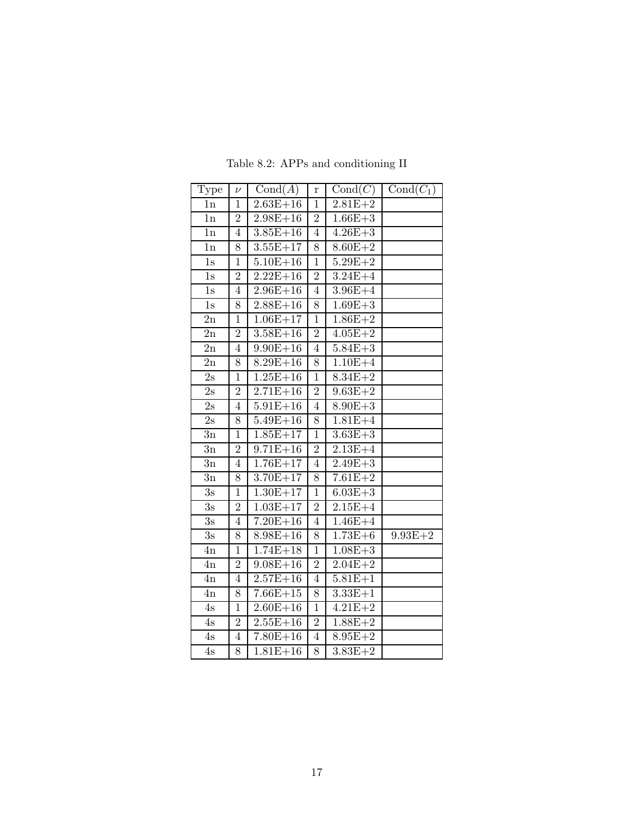| Type             | $\nu$          | Cond(A)               | r              | Cond(C)     | $Cond(C_1)$ |
|------------------|----------------|-----------------------|----------------|-------------|-------------|
| 1n               | $\mathbf{1}$   | $\overline{2.63E+16}$ | $\mathbf{1}$   | $2.81E + 2$ |             |
| 1n               | $\overline{2}$ | $2.98E + 16$          | $\overline{2}$ | $1.66E + 3$ |             |
| 1n               | $\overline{4}$ | $3.85E + 16$          | $\overline{4}$ | $4.26E + 3$ |             |
| 1n               | 8              | $3.55E + 17$          | 8              | $8.60E + 2$ |             |
| 1s               | $\mathbf{1}$   | $5.10E + 16$          | $\mathbf{1}$   | $5.29E + 2$ |             |
| 1s               | $\overline{2}$ | $2.22E + 16$          | $\overline{2}$ | $3.24E + 4$ |             |
| 1s               | $\overline{4}$ | $2.96E + 16$          | $\overline{4}$ | $3.96E + 4$ |             |
| 1s               | 8              | $2.88E + 16$          | 8              | $1.69E + 3$ |             |
| $2\mathrm{n}$    | $\mathbf{1}$   | $1.06E + 17$          | $\mathbf{1}$   | $1.86E + 2$ |             |
| $2\mathrm{n}$    | $\overline{2}$ | $3.58E + 16$          | $\overline{2}$ | $4.05E + 2$ |             |
| 2n               | $\overline{4}$ | $9.90E + 16$          | $\overline{4}$ | $5.84E + 3$ |             |
| 2n               | 8              | $8.29E + 16$          | 8              | $1.10E + 4$ |             |
| 2s               | $\mathbf{1}$   | $1.25E + 16$          | $\overline{1}$ | $8.34E + 2$ |             |
| 2s               | $\overline{2}$ | $2.71E + 16$          | $\overline{2}$ | $9.63E + 2$ |             |
| $2\mathrm{s}$    | $\overline{4}$ | $5.91E + 16$          | $\overline{4}$ | $8.90E + 3$ |             |
| $2\mathrm{s}$    | 8              | $5.49E + 16$          | 8              | $1.81E+4$   |             |
| 3n               | $\mathbf 1$    | $1.85E + 17$          | $\mathbf{1}$   | $3.63E + 3$ |             |
| 3n               | $\sqrt{2}$     | $9.71E + 16$          | $\sqrt{2}$     | $2.13E + 4$ |             |
| $3\mathrm{n}$    | $\overline{4}$ | $1.76E + 17$          | $\overline{4}$ | $2.49E + 3$ |             |
| 3n               | 8              | $3.70E + 17$          | 8              | $7.61E + 2$ |             |
| 3s               | $\mathbf{1}$   | $1.30E + 17$          | $\mathbf{1}$   | $6.03E + 3$ |             |
| 3s               | $\sqrt{2}$     | $1.03E + 17$          | $\overline{2}$ | $2.15E + 4$ |             |
| 3s               | $\overline{4}$ | $7.20E + 16$          | $\overline{4}$ | $1.46E + 4$ |             |
| $\overline{3}$ s | 8              | $8.98E + 16$          | 8              | $1.73E + 6$ | $9.93E + 2$ |
| 4n               | $\mathbf{1}$   | $1.74E + 18$          | $\mathbf{1}$   | $1.08E + 3$ |             |
| 4n               | $\sqrt{2}$     | $9.08E + 16$          | $\overline{2}$ | $2.04E + 2$ |             |
| 4n               | $\overline{4}$ | $2.57E + 16$          | $\overline{4}$ | $5.81E + 1$ |             |
| 4n               | 8              | $7.66E + 15$          | 8              | $3.33E + 1$ |             |
| 4s               | $\mathbf{1}$   | $2.60E + 16$          | $\mathbf{1}$   | $4.21E + 2$ |             |
| 4s               | $\overline{2}$ | $2.55E + 16$          | $\overline{2}$ | $1.88E + 2$ |             |
| 4s               | $\overline{4}$ | $7.80E + 16$          | $\overline{4}$ | $8.95E + 2$ |             |
| $4\mathrm{s}$    | 8              | $1.81E + 16$          | 8              | $3.83E + 2$ |             |

Table 8.2: APPs and conditioning II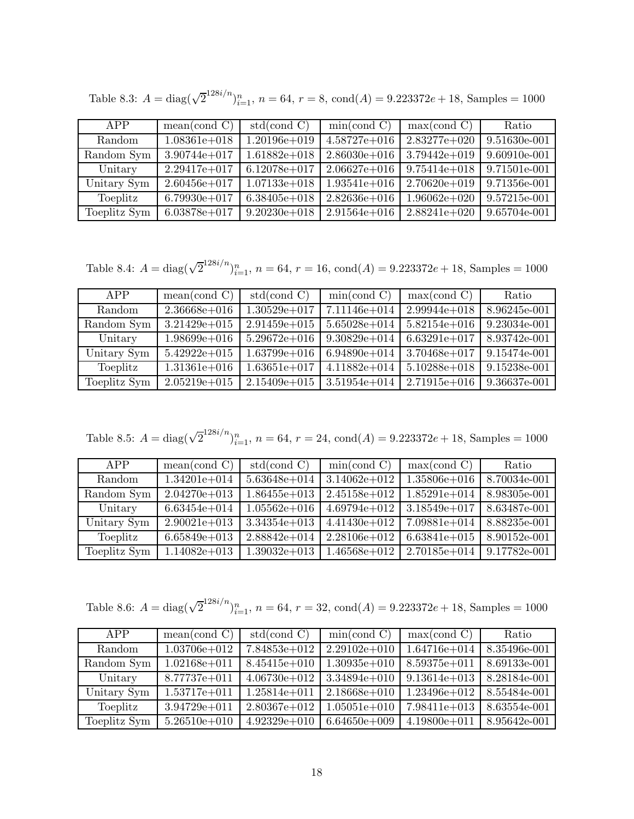| APP          | mean (cond C)    | std(cond C)      | min(cond C)      | max( cond C)     | Ratio        |
|--------------|------------------|------------------|------------------|------------------|--------------|
| Random       | $1.08361e+018$   | $1.20196e + 019$ | $4.58727e+016$   | $2.83277e+020$   | 9.51630e-001 |
| Random Sym   | $3.90744e + 017$ | $1.61882e+018$   | $2.86030e + 016$ | $3.79442e+019$   | 9.60910e-001 |
| Unitary      | $2.29417e + 017$ | $6.12078e+017$   | $2.06627e + 016$ | $9.75414e + 018$ | 9.71501e-001 |
| Unitary Sym  | $2.60456e + 017$ | $1.07133e + 018$ | $1.93541e + 016$ | $2.70620e + 019$ | 9.71356e-001 |
| Toeplitz     | $6.79930e + 017$ | $6.38405e+018$   | $2.82636e + 016$ | $1.96062e+020$   | 9.57215e-001 |
| Toeplitz Sym | $6.03878e + 017$ | $9.20230e + 018$ | $2.91564e + 016$ | $2.88241e+020$   | 9.65704e-001 |

Table 8.3:  $A = \text{diag}(\sqrt{2}^{128i/n})_{i=1}^n$ ,  $n = 64$ ,  $r = 8$ ,  $\text{cond}(A) = 9.223372e + 18$ , Samples = 1000

Table 8.4:  $A = \text{diag}(\sqrt{2}^{128i/n})_{i=1}^n$ ,  $n = 64$ ,  $r = 16$ ,  $\text{cond}(A) = 9.223372e + 18$ , Samples = 1000

| APP           | mean (cond C)    | std(cond C)      | min(cond C)      | max( cond C)     | Ratio        |
|---------------|------------------|------------------|------------------|------------------|--------------|
| <b>Random</b> | $2.36668e + 016$ | $1.30529e + 017$ | $7.11146e + 014$ | $2.99944e+018$   | 8.96245e-001 |
| Random Sym    | $3.21429e + 015$ | $2.91459e + 015$ | $5.65028e + 014$ | $5.82154e + 016$ | 9.23034e-001 |
| Unitary       | $1.98699e + 016$ | $5.29672e+016$   | $9.30829e + 014$ | $6.63291e+017$   | 8.93742e-001 |
| Unitary Sym   | $5.42922e+015$   | $1.63799e+016$   | $6.94890e + 014$ | $3.70468e + 017$ | 9.15474e-001 |
| Toeplitz      | $1.31361e + 016$ | $1.63651e+017$   | $4.11882e+014$   | $5.10288e + 018$ | 9.15238e-001 |
| Toeplitz Sym  | $2.05219e + 015$ | $2.15409e + 015$ | $3.51954e + 014$ | $2.71915e + 016$ | 9.36637e-001 |

Table 8.5:  $A = \text{diag}(\sqrt{2}^{128i/n})_{i=1}^n$ ,  $n = 64$ ,  $r = 24$ ,  $\text{cond}(A) = 9.223372e + 18$ , Samples = 1000

| APP          | mean (cond C)    | std(cond C)      | min(cond C)      | max( cond C)     | Ratio        |
|--------------|------------------|------------------|------------------|------------------|--------------|
| Random       | $1.34201e + 014$ | $5.63648e + 014$ | $3.14062e + 012$ | $1.35806e + 016$ | 8.70034e-001 |
| Random Sym   | $2.04270e + 013$ | $1.86455e+013$   | $2.45158e + 012$ | $1.85291e+014$   | 8.98305e-001 |
| Unitary      | $6.63454e + 014$ | $1.05562e + 016$ | $4.69794e+012$   | $3.18549e + 017$ | 8.63487e-001 |
| Unitary Sym  | $2.90021e+013$   | $3.34354e+013$   | $4.41430e + 012$ | $7.09881e+014$   | 8.88235e-001 |
| Toeplitz     | $6.65849e+013$   | $2.88842e+014$   | $2.28106e + 012$ | $6.63841e+015$   | 8.90152e-001 |
| Toeplitz Sym | $1.14082e+013$   | $1.39032e+013$   | $1.46568e+012$   | $2.70185e + 014$ | 9.17782e-001 |

Table 8.6:  $A = \text{diag}(\sqrt{2}^{128i/n})_{i=1}^n$ ,  $n = 64$ ,  $r = 32$ ,  $\text{cond}(A) = 9.223372e + 18$ , Samples = 1000

| APP          | mean(cond C)     | std(cond C)      | min(cond C)      | max( cond C)     | Ratio        |
|--------------|------------------|------------------|------------------|------------------|--------------|
| Random       | $1.03706e + 012$ | $7.84853e+012$   | $2.29102e + 010$ | $1.64716e + 014$ | 8.35496e-001 |
| Random Sym   | $1.02168e + 011$ | $8.45415e+010$   | $1.30935e+010$   | $8.59375e+011$   | 8.69133e-001 |
| Unitary      | 8.77737e+011     | $4.06730e + 012$ | $3.34894e+010$   | $9.13614e+013$   | 8.28184e-001 |
| Unitary Sym  | $1.53717e + 011$ | $1.25814e+011$   | $2.18668e + 010$ | $1.23496e + 012$ | 8.55484e-001 |
| Toeplitz     | $3.94729e + 011$ | $2.80367e+012$   | $1.05051e+010$   | $7.98411e+013$   | 8.63554e-001 |
| Toeplitz Sym | $5.26510e + 010$ | $4.92329e+010$   | $6.64650e + 009$ | $4.19800e + 011$ | 8.95642e-001 |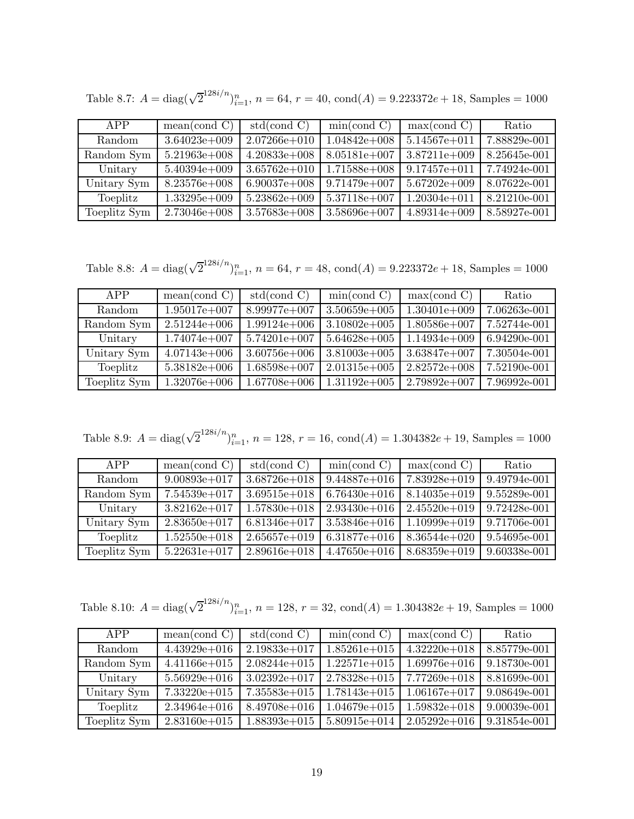| APP          | mean (cond C)    | std(cond C)      | min(cond C)      | max( cond C)     | Ratio        |
|--------------|------------------|------------------|------------------|------------------|--------------|
| Random       | $3.64023e+009$   | $2.07266e + 010$ | $1.04842e+008$   | $5.14567e + 011$ | 7.88829e-001 |
| Random Sym   | $5.21963e+008$   | $4.20833e+008$   | $8.05181e+007$   | $3.87211e+009$   | 8.25645e-001 |
| Unitary      | $5.40394e+009$   | $3.65762e + 010$ | $1.71588e + 008$ | $9.17457e + 011$ | 7.74924e-001 |
| Unitary Sym  | $8.23576e + 008$ | $6.90037e+008$   | $9.71479e+007$   | $5.67202e+009$   | 8.07622e-001 |
| Toeplitz     | $1.33295e+009$   | $5.23862e+009$   | 5.37118e+007     | $1.20304e + 011$ | 8.21210e-001 |
| Toeplitz Sym | $2.73046e + 008$ | $3.57683e+008$   | $3.58696e + 007$ | $4.89314e+009$   | 8.58927e-001 |

Table 8.7:  $A = \text{diag}(\sqrt{2}^{128i/n})_{i=1}^n$ ,  $n = 64$ ,  $r = 40$ ,  $\text{cond}(A) = 9.223372e + 18$ , Samples = 1000

Table 8.8:  $A = \text{diag}(\sqrt{2}^{128i/n})_{i=1}^n$ ,  $n = 64$ ,  $r = 48$ ,  $\text{cond}(A) = 9.223372e + 18$ , Samples = 1000

| APP          | mean(cond C)   | std(cond C)      | min(cond C)      | max( cond C)   | Ratio        |
|--------------|----------------|------------------|------------------|----------------|--------------|
| Random       | $1.95017e+007$ | 8.99977e+007     | $3.50659e+005$   | $1.30401e+009$ | 7.06263e-001 |
| Random Sym   | $2.51244e+006$ | $1.99124e+006$   | $3.10802e+005$   | $1.80586e+007$ | 7.52744e-001 |
| Unitary      | $1.74074e+007$ | $5.74201e+007$   | $5.64628e + 005$ | $1.14934e+009$ | 6.94290e-001 |
| Unitary Sym  | $4.07143e+006$ | $3.60756e + 006$ | $3.81003e+005$   | $3.63847e+007$ | 7.30504e-001 |
| Toeplitz     | $5.38182e+006$ | $1.68598e+007$   | $2.01315e+005$   | $2.82572e+008$ | 7.52190e-001 |
| Toeplitz Sym | $1.32076e+006$ | $1.67708e + 006$ | $1.31192e+005$   | $2.79892e+007$ | 7.96992e-001 |

Table 8.9:  $A = \text{diag}(\sqrt{2}^{128i/n})_{i=1}^n$ ,  $n = 128$ ,  $r = 16$ ,  $\text{cond}(A) = 1.304382e + 19$ , Samples = 1000

| APP          | mean (cond C)    | std(cond C)      | min(cond C)      | max( cond C)     | Ratio        |
|--------------|------------------|------------------|------------------|------------------|--------------|
| Random       | $9.00893e+017$   | $3.68726e + 018$ | $9.44887e + 016$ | $7.83928e+019$   | 9.49794e-001 |
| Random Sym   | 7.54539e+017     | $3.69515e + 018$ | $6.76430e + 016$ | $8.14035e + 019$ | 9.55289e-001 |
| Unitary      | $3.82162e + 017$ | $1.57830e + 018$ | $2.93430e + 016$ | $2.45520e + 019$ | 9.72428e-001 |
| Unitary Sym  | $2.83650e + 017$ | $6.81346e + 017$ | $3.53846e + 016$ | $1.10999e+019$   | 9.71706e-001 |
| Toeplitz     | $1.52550e + 018$ | $2.65657e+019$   | $6.31877e+016$   | $8.36544e+020$   | 9.54695e-001 |
| Toeplitz Sym | $5.22631e+017$   | $2.89616e + 018$ | $4.47650e + 016$ | $8.68359e + 019$ | 9.60338e-001 |

Table 8.10:  $A = \text{diag}(\sqrt{2}^{128i/n})_{i=1}^n$ ,  $n = 128$ ,  $r = 32$ ,  $\text{cond}(A) = 1.304382e + 19$ , Samples = 1000

| APP          | mean (cond C)    | std(cond C)      | min(cond C)      | max( cond C)     | Ratio        |
|--------------|------------------|------------------|------------------|------------------|--------------|
| Random       | $4.43929e+016$   | $2.19833e+017$   | $1.85261e+015$   | $4.32220e+018$   | 8.85779e-001 |
| Random Sym   | $4.41166e + 015$ | $2.08244e+015$   | $1.22571e+015$   | $1.69976e + 016$ | 9.18730e-001 |
| Unitary      | $5.56929e + 016$ | $3.02392e+017$   | $2.78328e + 015$ | $7.77269e + 018$ | 8.81699e-001 |
| Unitary Sym  | $7.33220e + 015$ | $7.35583e+015$   | $1.78143e+015$   | $1.06167e + 017$ | 9.08649e-001 |
| Toeplitz     | $2.34964e + 016$ | $8.49708e + 016$ | $1.04679e + 015$ | $1.59832e+018$   | 9.00039e-001 |
| Toeplitz Sym | $2.83160e + 015$ | $1.88393e+015$   | $5.80915e+014$   | $2.05292e+016$   | 9.31854e-001 |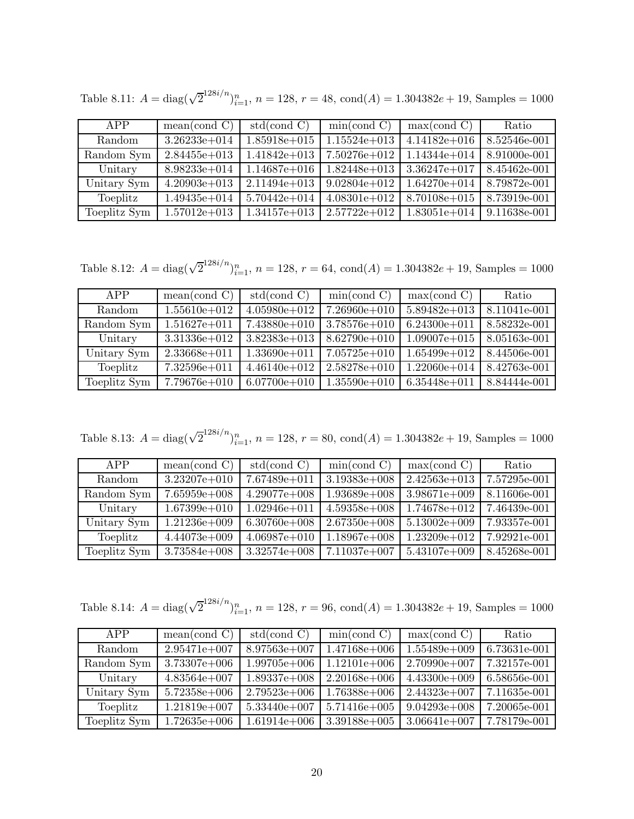| APP          | mean (cond C)    | std(cond C)      | min(cond C)      | max( cond C)     | Ratio        |
|--------------|------------------|------------------|------------------|------------------|--------------|
| Random       | $3.26233e + 014$ | $1.85918e + 015$ | $1.15524e+013$   | $4.14182e+016$   | 8.52546e-001 |
| Random Sym   | $2.84455e+013$   | $1.41842e+013$   | $7.50276e + 012$ | $1.14344e + 014$ | 8.91000e-001 |
| Unitary      | $8.98233e + 014$ | $1.14687e+016$   | $1.82448e+013$   | $3.36247e+017$   | 8.45462e-001 |
| Unitary Sym  | $4.20903e+013$   | $2.11494e+013$   | $9.02804e+012$   | $1.64270e + 014$ | 8.79872e-001 |
| Toeplitz     | $1.49435e + 014$ | $5.70442e + 014$ | $4.08301e+012$   | $8.70108e + 015$ | 8.73919e-001 |
| Toeplitz Sym | $1.57012e+013$   | $1.34157e+013$   | $2.57722e+012$   | $1.83051e+014$   | 9.11638e-001 |

Table 8.11:  $A = \text{diag}(\sqrt{2}^{128i/n})_{i=1}^n$ ,  $n = 128$ ,  $r = 48$ ,  $\text{cond}(A) = 1.304382e + 19$ , Samples = 1000

Table 8.12:  $A = \text{diag}(\sqrt{2}^{128i/n})_{i=1}^n$ ,  $n = 128$ ,  $r = 64$ ,  $\text{cond}(A) = 1.304382e + 19$ , Samples = 1000

| APP          | mean (cond C)    | std(cond C)      | min(cond C)      | max( cond C)     | Ratio        |
|--------------|------------------|------------------|------------------|------------------|--------------|
| Random       | $1.55610e + 012$ | $4.05980e + 012$ | $7.26960e + 010$ | $5.89482e+013$   | 8.11041e-001 |
| Random Sym   | $1.51627e + 011$ | $7.43880e+010$   | $3.78576e + 010$ | $6.24300e + 011$ | 8.58232e-001 |
| Unitary      | $3.31336e + 012$ | $3.82383e+013$   | $8.62790e + 010$ | $1.09007e + 015$ | 8.05163e-001 |
| Unitary Sym  | $2.33668e + 011$ | $1.33690e + 011$ | $7.05725e+010$   | $1.65499e+012$   | 8.44506e-001 |
| Toeplitz     | $7.32596e + 011$ | $4.46140e + 012$ | $2.58278e + 010$ | $1.22060e + 014$ | 8.42763e-001 |
| Toeplitz Sym | 7.79676e+010     | $6.07700e + 010$ | $1.35590e + 010$ | $6.35448e + 011$ | 8.84444e-001 |

Table 8.13:  $A = \text{diag}(\sqrt{2}^{128i/n})_{i=1}^n$ ,  $n = 128$ ,  $r = 80$ ,  $\text{cond}(A) = 1.304382e + 19$ , Samples = 1000

| APP          | mean (cond C)    | std(cond C)      | min(cond C)      | max( cond C)     | Ratio        |
|--------------|------------------|------------------|------------------|------------------|--------------|
| Random       | $3.23207e + 010$ | $7.67489e+011$   | $3.19383e+008$   | $2.42563e+013$   | 7.57295e-001 |
| Random Sym   | $7.65959e+008$   | $4.29077e+008$   | $1.93689e+008$   | $3.98671e+009$   | 8.11606e-001 |
| Unitary      | $1.67399e+010$   | $1.02946e + 011$ | $4.59358e+008$   | $1.74678e + 012$ | 7.46439e-001 |
| Unitary Sym  | $1.21236e + 009$ | $6.30760e + 008$ | $2.67350e + 008$ | $5.13002e+009$   | 7.93357e-001 |
| Toeplitz     | $4.44073e+009$   | $4.06987e+010$   | $1.18967e+008$   | $1.23209e + 012$ | 7.92921e-001 |
| Toeplitz Sym | $3.73584e+008$   | $3.32574e+008$   | 7.11037e+007     | $5.43107e+009$   | 8.45268e-001 |

Table 8.14:  $A = \text{diag}(\sqrt{2}^{128i/n})_{i=1}^n$ ,  $n = 128$ ,  $r = 96$ ,  $\text{cond}(A) = 1.304382e + 19$ , Samples = 1000

| APP          | mean(cond C)     | std(cond C)      | min(cond C)      | max( cond C)     | Ratio        |
|--------------|------------------|------------------|------------------|------------------|--------------|
| Random       | $2.95471e+007$   | $8.97563e+007$   | $1.47168e+006$   | $1.55489e+009$   | 6.73631e-001 |
| Random Sym   | $3.73307e+006$   | $1.99705e+006$   | $1.12101e+006$   | $2.70990e + 007$ | 7.32157e-001 |
| Unitary      | $4.83564e+007$   | $1.89337e+008$   | $2.20168e + 006$ | $4.43300e+009$   | 6.58656e-001 |
| Unitary Sym  | $5.72358e + 006$ | $2.79523e+006$   | $1.76388e + 006$ | $2.44323e+007$   | 7.11635e-001 |
| Toeplitz     | $1.21819e+007$   | $5.33440e + 007$ | $5.71416e + 005$ | $9.04293e+008$   | 7.20065e-001 |
| Toeplitz Sym | $1.72635e+006$   | $1.61914e+006$   | $3.39188e + 005$ | $3.06641e+007$   | 7.78179e-001 |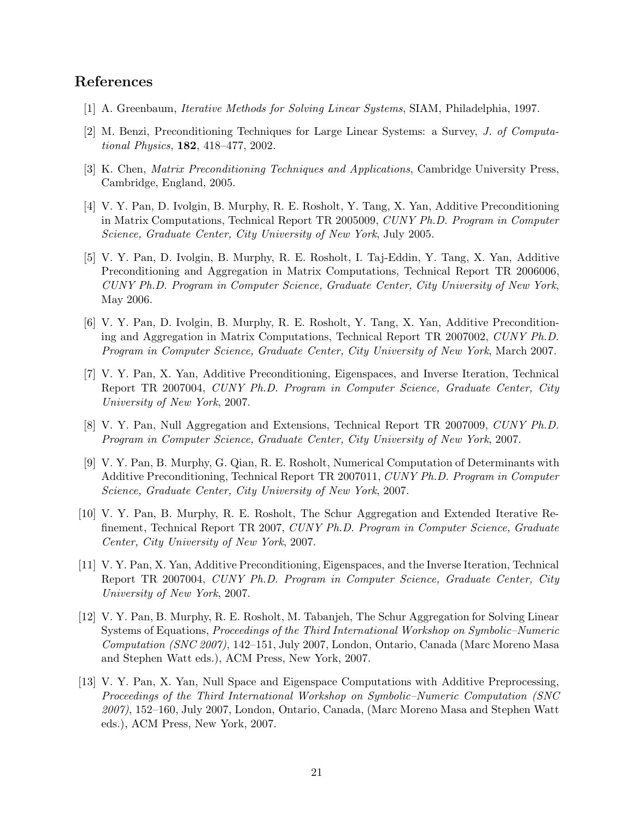## **References**

- [1] A. Greenbaum, *Iterative Methods for Solving Linear Systems*, SIAM, Philadelphia, 1997.
- [2] M. Benzi, Preconditioning Techniques for Large Linear Systems: a Survey, *J. of Computational Physics*, **182**, 418–477, 2002.
- [3] K. Chen, *Matrix Preconditioning Techniques and Applications*, Cambridge University Press, Cambridge, England, 2005.
- [4] V. Y. Pan, D. Ivolgin, B. Murphy, R. E. Rosholt, Y. Tang, X. Yan, Additive Preconditioning in Matrix Computations, Technical Report TR 2005009, *CUNY Ph.D. Program in Computer Science, Graduate Center, City University of New York*, July 2005.
- [5] V. Y. Pan, D. Ivolgin, B. Murphy, R. E. Rosholt, I. Taj-Eddin, Y. Tang, X. Yan, Additive Preconditioning and Aggregation in Matrix Computations, Technical Report TR 2006006, *CUNY Ph.D. Program in Computer Science, Graduate Center, City University of New York*, May 2006.
- [6] V. Y. Pan, D. Ivolgin, B. Murphy, R. E. Rosholt, Y. Tang, X. Yan, Additive Preconditioning and Aggregation in Matrix Computations, Technical Report TR 2007002, *CUNY Ph.D. Program in Computer Science, Graduate Center, City University of New York*, March 2007.
- [7] V. Y. Pan, X. Yan, Additive Preconditioning, Eigenspaces, and Inverse Iteration, Technical Report TR 2007004, *CUNY Ph.D. Program in Computer Science, Graduate Center, City University of New York*, 2007.
- [8] V. Y. Pan, Null Aggregation and Extensions, Technical Report TR 2007009, *CUNY Ph.D. Program in Computer Science, Graduate Center, City University of New York*, 2007.
- [9] V. Y. Pan, B. Murphy, G. Qian, R. E. Rosholt, Numerical Computation of Determinants with Additive Preconditioning, Technical Report TR 2007011, *CUNY Ph.D. Program in Computer Science, Graduate Center, City University of New York*, 2007.
- [10] V. Y. Pan, B. Murphy, R. E. Rosholt, The Schur Aggregation and Extended Iterative Refinement, Technical Report TR 2007, *CUNY Ph.D. Program in Computer Science, Graduate Center, City University of New York*, 2007.
- [11] V. Y. Pan, X. Yan, Additive Preconditioning, Eigenspaces, and the Inverse Iteration, Technical Report TR 2007004, *CUNY Ph.D. Program in Computer Science, Graduate Center, City University of New York*, 2007.
- [12] V. Y. Pan, B. Murphy, R. E. Rosholt, M. Tabanjeh, The Schur Aggregation for Solving Linear Systems of Equations, *Proceedings of the Third International Workshop on Symbolic–Numeric Computation (SNC 2007)*, 142–151, July 2007, London, Ontario, Canada (Marc Moreno Masa and Stephen Watt eds.), ACM Press, New York, 2007.
- [13] V. Y. Pan, X. Yan, Null Space and Eigenspace Computations with Additive Preprocessing, *Proceedings of the Third International Workshop on Symbolic–Numeric Computation (SNC 2007)*, 152–160, July 2007, London, Ontario, Canada, (Marc Moreno Masa and Stephen Watt eds.), ACM Press, New York, 2007.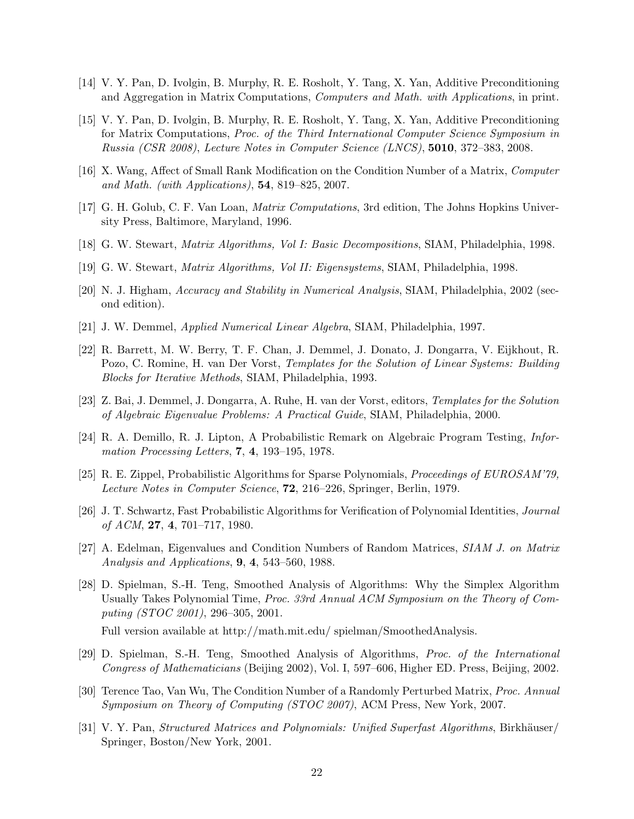- [14] V. Y. Pan, D. Ivolgin, B. Murphy, R. E. Rosholt, Y. Tang, X. Yan, Additive Preconditioning and Aggregation in Matrix Computations, *Computers and Math. with Applications*, in print.
- [15] V. Y. Pan, D. Ivolgin, B. Murphy, R. E. Rosholt, Y. Tang, X. Yan, Additive Preconditioning for Matrix Computations, *Proc. of the Third International Computer Science Symposium in Russia (CSR 2008)*, *Lecture Notes in Computer Science (LNCS)*, **5010**, 372–383, 2008.
- [16] X. Wang, Affect of Small Rank Modification on the Condition Number of a Matrix, *Computer and Math. (with Applications)*, **54**, 819–825, 2007.
- [17] G. H. Golub, C. F. Van Loan, *Matrix Computations*, 3rd edition, The Johns Hopkins University Press, Baltimore, Maryland, 1996.
- [18] G. W. Stewart, *Matrix Algorithms, Vol I: Basic Decompositions*, SIAM, Philadelphia, 1998.
- [19] G. W. Stewart, *Matrix Algorithms, Vol II: Eigensystems*, SIAM, Philadelphia, 1998.
- [20] N. J. Higham, *Accuracy and Stability in Numerical Analysis*, SIAM, Philadelphia, 2002 (second edition).
- [21] J. W. Demmel, *Applied Numerical Linear Algebra*, SIAM, Philadelphia, 1997.
- [22] R. Barrett, M. W. Berry, T. F. Chan, J. Demmel, J. Donato, J. Dongarra, V. Eijkhout, R. Pozo, C. Romine, H. van Der Vorst, *Templates for the Solution of Linear Systems: Building Blocks for Iterative Methods*, SIAM, Philadelphia, 1993.
- [23] Z. Bai, J. Demmel, J. Dongarra, A. Ruhe, H. van der Vorst, editors, *Templates for the Solution of Algebraic Eigenvalue Problems: A Practical Guide*, SIAM, Philadelphia, 2000.
- [24] R. A. Demillo, R. J. Lipton, A Probabilistic Remark on Algebraic Program Testing, *Information Processing Letters*, **7**, **4**, 193–195, 1978.
- [25] R. E. Zippel, Probabilistic Algorithms for Sparse Polynomials, *Proceedings of EUROSAM'79, Lecture Notes in Computer Science*, **72**, 216–226, Springer, Berlin, 1979.
- [26] J. T. Schwartz, Fast Probabilistic Algorithms for Verification of Polynomial Identities, *Journal of ACM*, **27**, **4**, 701–717, 1980.
- [27] A. Edelman, Eigenvalues and Condition Numbers of Random Matrices, *SIAM J. on Matrix Analysis and Applications*, **9**, **4**, 543–560, 1988.
- [28] D. Spielman, S.-H. Teng, Smoothed Analysis of Algorithms: Why the Simplex Algorithm Usually Takes Polynomial Time, *Proc. 33rd Annual ACM Symposium on the Theory of Computing (STOC 2001)*, 296–305, 2001.

Full version available at http://math.mit.edu/ spielman/SmoothedAnalysis.

- [29] D. Spielman, S.-H. Teng, Smoothed Analysis of Algorithms, *Proc. of the International Congress of Mathematicians* (Beijing 2002), Vol. I, 597–606, Higher ED. Press, Beijing, 2002.
- [30] Terence Tao, Van Wu, The Condition Number of a Randomly Perturbed Matrix, *Proc. Annual Symposium on Theory of Computing (STOC 2007)*, ACM Press, New York, 2007.
- [31] V. Y. Pan, *Structured Matrices and Polynomials: Unified Superfast Algorithms*, Birkhäuser/ Springer, Boston/New York, 2001.